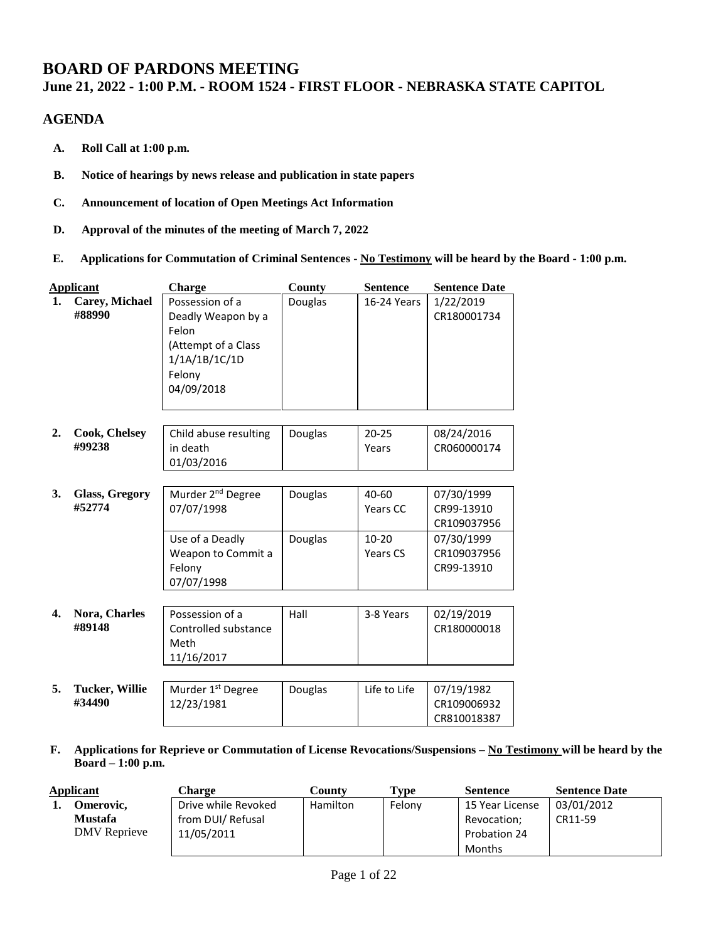# **BOARD OF PARDONS MEETING**

## **June 21, 2022 - 1:00 P.M. - ROOM 1524 - FIRST FLOOR - NEBRASKA STATE CAPITOL**

## **AGENDA**

- **A. Roll Call at 1:00 p.m.**
- **B. Notice of hearings by news release and publication in state papers**
- **C. Announcement of location of Open Meetings Act Information**
- **D. Approval of the minutes of the meeting of March 7, 2022**
- **E. Applications for Commutation of Criminal Sentences - No Testimony will be heard by the Board - 1:00 p.m.**

|    | <b>Applicant</b>                | Charge                                                                                                         | County<br><b>Sentence</b> |                       | <b>Sentence Date</b>                     |
|----|---------------------------------|----------------------------------------------------------------------------------------------------------------|---------------------------|-----------------------|------------------------------------------|
| 1. | Carey, Michael<br>#88990        | Possession of a<br>Deadly Weapon by a<br>Felon<br>(Attempt of a Class<br>1/1A/1B/1C/1D<br>Felony<br>04/09/2018 | Douglas                   | 16-24 Years           | 1/22/2019<br>CR180001734                 |
| 2. | <b>Cook, Chelsey</b><br>#99238  | Child abuse resulting<br>in death<br>01/03/2016                                                                | Douglas                   | $20 - 25$<br>Years    | 08/24/2016<br>CR060000174                |
| 3. | Glass, Gregory<br>#52774        | Murder 2 <sup>nd</sup> Degree<br>07/07/1998                                                                    | Douglas                   | $40 - 60$<br>Years CC | 07/30/1999<br>CR99-13910<br>CR109037956  |
|    |                                 | Use of a Deadly<br>Weapon to Commit a<br>Felony<br>07/07/1998                                                  | Douglas                   | $10 - 20$<br>Years CS | 07/30/1999<br>CR109037956<br>CR99-13910  |
| 4. | Nora, Charles<br>#89148         | Possession of a<br>Controlled substance<br>Meth<br>11/16/2017                                                  | Hall                      | 3-8 Years             | 02/19/2019<br>CR180000018                |
| 5. | <b>Tucker, Willie</b><br>#34490 | Murder 1st Degree<br>12/23/1981                                                                                | Douglas                   | Life to Life          | 07/19/1982<br>CR109006932<br>CR810018387 |

**F. Applications for Reprieve or Commutation of License Revocations/Suspensions – No Testimony will be heard by the Board – 1:00 p.m.**

| Applicant      |              | Charge              | Type<br>Countv |        | <b>Sentence</b> | <b>Sentence Date</b> |
|----------------|--------------|---------------------|----------------|--------|-----------------|----------------------|
|                | Omerovic,    | Drive while Revoked | Hamilton       | Felony | 15 Year License | 03/01/2012           |
| <b>Mustafa</b> |              | from DUI/ Refusal   |                |        | Revocation;     | CR11-59              |
|                | DMV Reprieve | 11/05/2011          |                |        | Probation 24    |                      |
|                |              |                     |                |        | Months          |                      |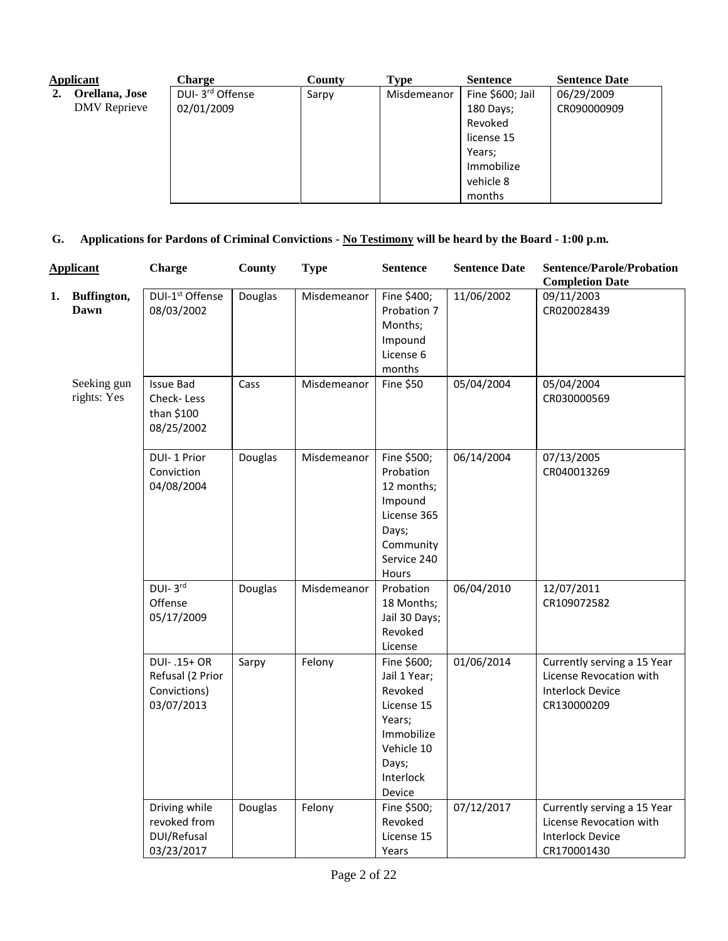| <b>Applicant</b> |                     | <b>Charge</b>                | County | <b>Type</b> | <b>Sentence</b>  | <b>Sentence Date</b> |
|------------------|---------------------|------------------------------|--------|-------------|------------------|----------------------|
|                  | Orellana, Jose      | DUI- 3 <sup>rd</sup> Offense | Sarpy  | Misdemeanor | Fine \$600; Jail | 06/29/2009           |
|                  | <b>DMV</b> Reprieve | 02/01/2009                   |        |             | 180 Days;        | CR090000909          |
|                  |                     |                              |        |             | Revoked          |                      |
|                  |                     |                              |        |             | license 15       |                      |
|                  |                     |                              |        |             | Years;           |                      |
|                  |                     |                              |        |             | Immobilize       |                      |
|                  |                     |                              |        |             | vehicle 8        |                      |
|                  |                     |                              |        |             | months           |                      |

**G. Applications for Pardons of Criminal Convictions - No Testimony will be heard by the Board - 1:00 p.m.**

|    | <b>Applicant</b>           | <b>Charge</b>                                                 | County  | <b>Type</b> | <b>Sentence</b>                                                                                                            | <b>Sentence Date</b> | <b>Sentence/Parole/Probation</b><br><b>Completion Date</b>                                       |
|----|----------------------------|---------------------------------------------------------------|---------|-------------|----------------------------------------------------------------------------------------------------------------------------|----------------------|--------------------------------------------------------------------------------------------------|
| 1. | Buffington,<br>Dawn        | DUI-1 <sup>st</sup> Offense<br>08/03/2002                     | Douglas | Misdemeanor | Fine \$400;<br>Probation 7<br>Months;<br>Impound<br>License 6<br>months                                                    | 11/06/2002           | 09/11/2003<br>CR020028439                                                                        |
|    | Seeking gun<br>rights: Yes | <b>Issue Bad</b><br>Check-Less<br>than \$100<br>08/25/2002    | Cass    | Misdemeanor | <b>Fine \$50</b>                                                                                                           | 05/04/2004           | 05/04/2004<br>CR030000569                                                                        |
|    |                            | DUI-1 Prior<br>Conviction<br>04/08/2004                       | Douglas | Misdemeanor | Fine \$500;<br>Probation<br>12 months;<br>Impound<br>License 365<br>Days;<br>Community<br>Service 240<br>Hours             | 06/14/2004           | 07/13/2005<br>CR040013269                                                                        |
|    |                            | $DUI-3rd$<br>Offense<br>05/17/2009                            | Douglas | Misdemeanor | Probation<br>18 Months;<br>Jail 30 Days;<br>Revoked<br>License                                                             | 06/04/2010           | 12/07/2011<br>CR109072582                                                                        |
|    |                            | DUI-.15+ OR<br>Refusal (2 Prior<br>Convictions)<br>03/07/2013 | Sarpy   | Felony      | Fine \$600;<br>Jail 1 Year;<br>Revoked<br>License 15<br>Years;<br>Immobilize<br>Vehicle 10<br>Days;<br>Interlock<br>Device | 01/06/2014           | Currently serving a 15 Year<br>License Revocation with<br><b>Interlock Device</b><br>CR130000209 |
|    |                            | Driving while<br>revoked from<br>DUI/Refusal<br>03/23/2017    | Douglas | Felony      | Fine \$500;<br>Revoked<br>License 15<br>Years                                                                              | 07/12/2017           | Currently serving a 15 Year<br>License Revocation with<br><b>Interlock Device</b><br>CR170001430 |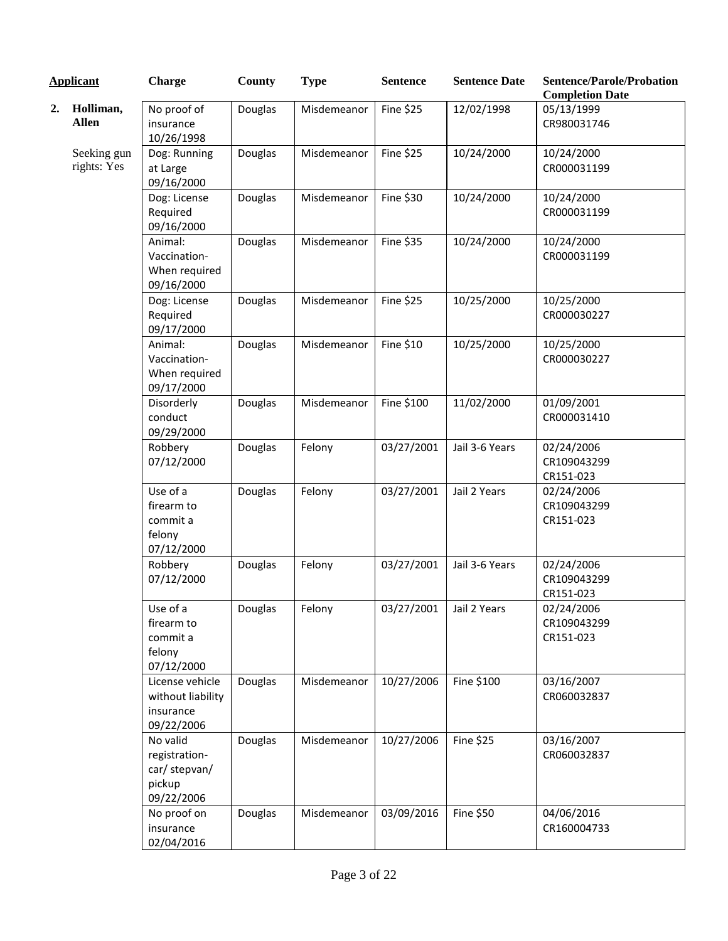|    | <b>Applicant</b>           | Charge                                                             | County  | <b>Type</b> | <b>Sentence</b>         | <b>Sentence Date</b> | <b>Sentence/Parole/Probation</b><br><b>Completion Date</b> |
|----|----------------------------|--------------------------------------------------------------------|---------|-------------|-------------------------|----------------------|------------------------------------------------------------|
| 2. | Holliman,<br><b>Allen</b>  | No proof of<br>insurance<br>10/26/1998                             | Douglas | Misdemeanor | <b>Fine \$25</b>        | 12/02/1998           | 05/13/1999<br>CR980031746                                  |
|    | Seeking gun<br>rights: Yes | Dog: Running<br>at Large<br>09/16/2000                             | Douglas | Misdemeanor | <b>Fine \$25</b>        | 10/24/2000           | 10/24/2000<br>CR000031199                                  |
|    |                            | Dog: License<br>Required<br>09/16/2000                             | Douglas | Misdemeanor | Fine \$30               | 10/24/2000           | 10/24/2000<br>CR000031199                                  |
|    |                            | Animal:<br>Vaccination-<br>When required<br>09/16/2000             | Douglas | Misdemeanor | Fine \$35               | 10/24/2000           | 10/24/2000<br>CR000031199                                  |
|    |                            | Dog: License<br>Required<br>09/17/2000                             | Douglas | Misdemeanor | <b>Fine \$25</b>        | 10/25/2000           | 10/25/2000<br>CR000030227                                  |
|    |                            | Animal:<br>Vaccination-<br>When required<br>09/17/2000             | Douglas | Misdemeanor | Fine \$10               | 10/25/2000           | 10/25/2000<br>CR000030227                                  |
|    |                            | Disorderly<br>conduct<br>09/29/2000                                | Douglas | Misdemeanor | Fine \$100              | 11/02/2000           | 01/09/2001<br>CR000031410                                  |
|    |                            | Robbery<br>07/12/2000                                              | Douglas | Felony      | 03/27/2001              | Jail 3-6 Years       | 02/24/2006<br>CR109043299<br>CR151-023                     |
|    |                            | Use of a<br>firearm to<br>commit a<br>felony<br>07/12/2000         | Douglas | Felony      | 03/27/2001              | Jail 2 Years         | 02/24/2006<br>CR109043299<br>CR151-023                     |
|    |                            | Robbery<br>07/12/2000                                              | Douglas | Felony      | 03/27/2001              | Jail 3-6 Years       | 02/24/2006<br>CR109043299<br>CR151-023                     |
|    |                            | Use of a<br>firearm to<br>commit a<br>felony<br>07/12/2000         | Douglas | Felony      | 03/27/2001 Jail 2 Years |                      | 02/24/2006<br>CR109043299<br>CR151-023                     |
|    |                            | License vehicle<br>without liability<br>insurance<br>09/22/2006    | Douglas | Misdemeanor | 10/27/2006              | Fine \$100           | 03/16/2007<br>CR060032837                                  |
|    |                            | No valid<br>registration-<br>car/ stepvan/<br>pickup<br>09/22/2006 | Douglas | Misdemeanor | 10/27/2006              | <b>Fine \$25</b>     | 03/16/2007<br>CR060032837                                  |
|    |                            | No proof on<br>insurance<br>02/04/2016                             | Douglas | Misdemeanor | 03/09/2016              | <b>Fine \$50</b>     | 04/06/2016<br>CR160004733                                  |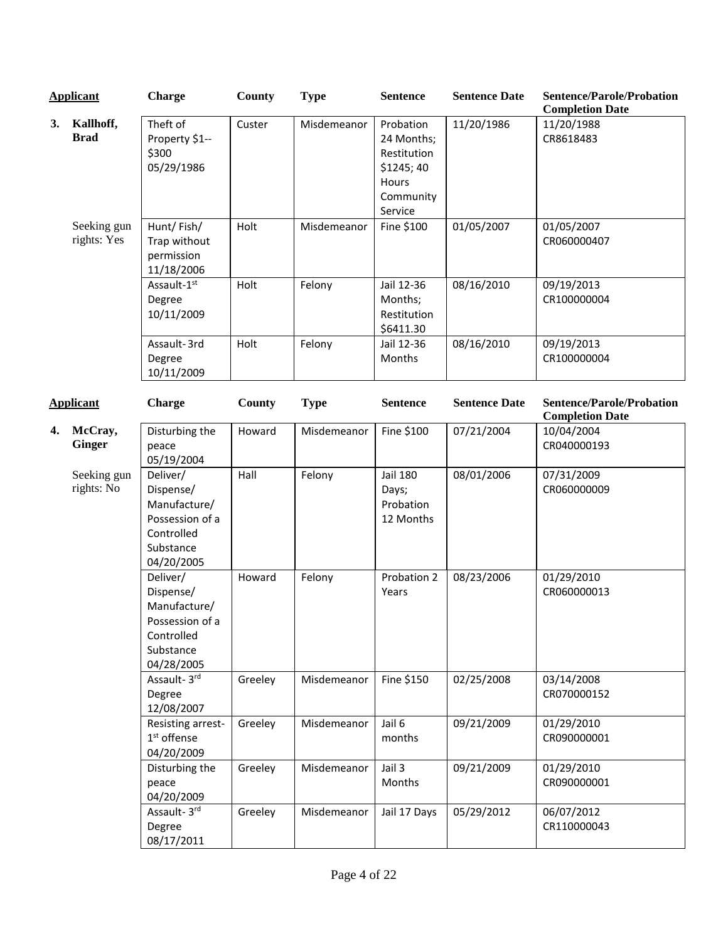|    | <b>Applicant</b>           | <b>Charge</b>                                                                                     | County  | <b>Type</b> | <b>Sentence</b>                                                                      | <b>Sentence Date</b> | <b>Sentence/Parole/Probation</b><br><b>Completion Date</b> |
|----|----------------------------|---------------------------------------------------------------------------------------------------|---------|-------------|--------------------------------------------------------------------------------------|----------------------|------------------------------------------------------------|
| 3. | Kallhoff,<br><b>Brad</b>   | Theft of<br>Property \$1--<br>\$300<br>05/29/1986                                                 | Custer  | Misdemeanor | Probation<br>24 Months;<br>Restitution<br>\$1245;40<br>Hours<br>Community<br>Service | 11/20/1986           | 11/20/1988<br>CR8618483                                    |
|    | Seeking gun<br>rights: Yes | Hunt/Fish/<br>Trap without<br>permission<br>11/18/2006                                            | Holt    | Misdemeanor | Fine \$100                                                                           | 01/05/2007           | 01/05/2007<br>CR060000407                                  |
|    |                            | Assault-1st<br>Degree<br>10/11/2009                                                               | Holt    | Felony      | Jail 12-36<br>Months;<br>Restitution<br>\$6411.30                                    | 08/16/2010           | 09/19/2013<br>CR100000004                                  |
|    |                            | Assault-3rd<br>Degree<br>10/11/2009                                                               | Holt    | Felony      | Jail 12-36<br>Months                                                                 | 08/16/2010           | 09/19/2013<br>CR100000004                                  |
|    | <b>Applicant</b>           | <b>Charge</b>                                                                                     | County  | <b>Type</b> | <b>Sentence</b>                                                                      | <b>Sentence Date</b> | <b>Sentence/Parole/Probation</b><br><b>Completion Date</b> |
| 4. | McCray,<br><b>Ginger</b>   | Disturbing the<br>peace<br>05/19/2004                                                             | Howard  | Misdemeanor | Fine \$100                                                                           | 07/21/2004           | 10/04/2004<br>CR040000193                                  |
|    | Seeking gun<br>rights: No  | Deliver/<br>Dispense/<br>Manufacture/<br>Possession of a<br>Controlled<br>Substance<br>04/20/2005 | Hall    | Felony      | <b>Jail 180</b><br>Days;<br>Probation<br>12 Months                                   | 08/01/2006           | 07/31/2009<br>CR060000009                                  |
|    |                            | Deliver/<br>Dispense/<br>Manufacture/<br>Possession of a<br>Controlled<br>Substance<br>04/28/2005 | Howard  | Felony      | Probation 2<br>Years                                                                 | 08/23/2006           | 01/29/2010<br>CR060000013                                  |
|    |                            | Assault- 3rd<br>Degree<br>12/08/2007                                                              | Greeley | Misdemeanor | Fine \$150                                                                           | 02/25/2008           | 03/14/2008<br>CR070000152                                  |
|    |                            | Resisting arrest-<br>$1st$ offense<br>04/20/2009                                                  | Greeley | Misdemeanor | Jail 6<br>months                                                                     | 09/21/2009           | 01/29/2010<br>CR090000001                                  |
|    |                            | Disturbing the<br>peace<br>04/20/2009                                                             | Greeley | Misdemeanor | Jail 3<br>Months                                                                     | 09/21/2009           | 01/29/2010<br>CR090000001                                  |
|    |                            | Assault- 3rd<br>Degree<br>08/17/2011                                                              | Greeley | Misdemeanor | Jail 17 Days                                                                         | 05/29/2012           | 06/07/2012<br>CR110000043                                  |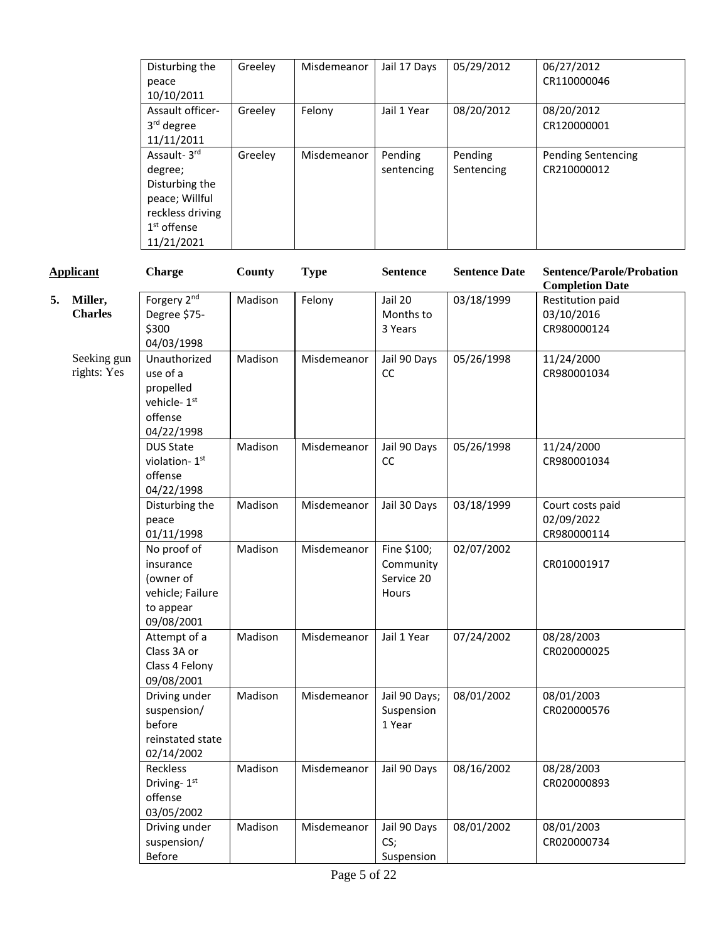| Disturbing the<br>peace<br>10/10/2011                                                                         | Greeley | Misdemeanor | Jail 17 Days          | 05/29/2012            | 06/27/2012<br>CR110000046                |
|---------------------------------------------------------------------------------------------------------------|---------|-------------|-----------------------|-----------------------|------------------------------------------|
| Assault officer-<br>3rd degree<br>11/11/2011                                                                  | Greeley | Felony      | Jail 1 Year           | 08/20/2012            | 08/20/2012<br>CR120000001                |
| Assault-3rd<br>degree;<br>Disturbing the<br>peace; Willful<br>reckless driving<br>$1st$ offense<br>11/21/2021 | Greeley | Misdemeanor | Pending<br>sentencing | Pending<br>Sentencing | <b>Pending Sentencing</b><br>CR210000012 |

|    | <b>Applicant</b>           | <b>Charge</b>                                                                        | County  | <b>Type</b> | <b>Sentence</b>                                 | <b>Sentence Date</b> | <b>Sentence/Parole/Probation</b><br><b>Completion Date</b> |
|----|----------------------------|--------------------------------------------------------------------------------------|---------|-------------|-------------------------------------------------|----------------------|------------------------------------------------------------|
| 5. | Miller,<br><b>Charles</b>  | Forgery 2nd<br>Degree \$75-<br>\$300<br>04/03/1998                                   | Madison | Felony      | Jail 20<br>Months to<br>3 Years                 | 03/18/1999           | Restitution paid<br>03/10/2016<br>CR980000124              |
|    | Seeking gun<br>rights: Yes | Unauthorized<br>use of a<br>propelled<br>vehicle-1st<br>offense<br>04/22/1998        | Madison | Misdemeanor | Jail 90 Days<br>cc                              | 05/26/1998           | 11/24/2000<br>CR980001034                                  |
|    |                            | <b>DUS State</b><br>violation-1st<br>offense<br>04/22/1998                           | Madison | Misdemeanor | Jail 90 Days<br>cc                              | 05/26/1998           | 11/24/2000<br>CR980001034                                  |
|    |                            | Disturbing the<br>peace<br>01/11/1998                                                | Madison | Misdemeanor | Jail 30 Days                                    | 03/18/1999           | Court costs paid<br>02/09/2022<br>CR980000114              |
|    |                            | No proof of<br>insurance<br>(owner of<br>vehicle; Failure<br>to appear<br>09/08/2001 | Madison | Misdemeanor | Fine \$100;<br>Community<br>Service 20<br>Hours | 02/07/2002           | CR010001917                                                |
|    |                            | Attempt of a<br>Class 3A or<br>Class 4 Felony<br>09/08/2001                          | Madison | Misdemeanor | Jail 1 Year                                     | 07/24/2002           | 08/28/2003<br>CR020000025                                  |
|    |                            | Driving under<br>suspension/<br>before<br>reinstated state<br>02/14/2002             | Madison | Misdemeanor | Jail 90 Days;<br>Suspension<br>1 Year           | 08/01/2002           | 08/01/2003<br>CR020000576                                  |
|    |                            | Reckless<br>Driving-1st<br>offense<br>03/05/2002                                     | Madison | Misdemeanor | Jail 90 Days                                    | 08/16/2002           | 08/28/2003<br>CR020000893                                  |
|    |                            | Driving under<br>suspension/<br><b>Before</b>                                        | Madison | Misdemeanor | Jail 90 Days<br>CS;<br>Suspension               | 08/01/2002           | 08/01/2003<br>CR020000734                                  |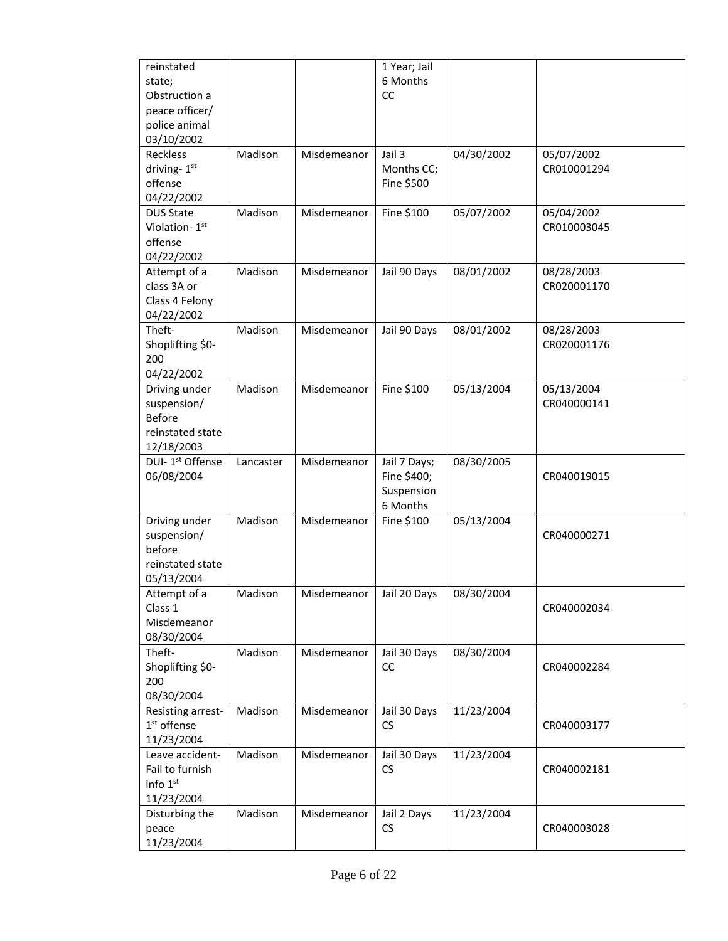| reinstated<br>state;<br>Obstruction a<br>peace officer/<br>police animal<br>03/10/2002 |           |             | 1 Year; Jail<br>6 Months<br>CC                        |            |                           |
|----------------------------------------------------------------------------------------|-----------|-------------|-------------------------------------------------------|------------|---------------------------|
| Reckless<br>driving-1st<br>offense<br>04/22/2002                                       | Madison   | Misdemeanor | Jail 3<br>Months CC;<br>Fine \$500                    | 04/30/2002 | 05/07/2002<br>CR010001294 |
| <b>DUS State</b><br>Violation-1st<br>offense<br>04/22/2002                             | Madison   | Misdemeanor | Fine \$100                                            | 05/07/2002 | 05/04/2002<br>CR010003045 |
| Attempt of a<br>class 3A or<br>Class 4 Felony<br>04/22/2002                            | Madison   | Misdemeanor | Jail 90 Days                                          | 08/01/2002 | 08/28/2003<br>CR020001170 |
| Theft-<br>Shoplifting \$0-<br>200<br>04/22/2002                                        | Madison   | Misdemeanor | Jail 90 Days                                          | 08/01/2002 | 08/28/2003<br>CR020001176 |
| Driving under<br>suspension/<br><b>Before</b><br>reinstated state<br>12/18/2003        | Madison   | Misdemeanor | Fine \$100                                            | 05/13/2004 | 05/13/2004<br>CR040000141 |
| DUI-1 <sup>st</sup> Offense<br>06/08/2004                                              | Lancaster | Misdemeanor | Jail 7 Days;<br>Fine \$400;<br>Suspension<br>6 Months | 08/30/2005 | CR040019015               |
| Driving under<br>suspension/<br>before<br>reinstated state<br>05/13/2004               | Madison   | Misdemeanor | Fine \$100                                            | 05/13/2004 | CR040000271               |
| Attempt of a<br>Class 1<br>Misdemeanor<br>08/30/2004                                   | Madison   | Misdemeanor | Jail 20 Days                                          | 08/30/2004 | CR040002034               |
| Theft-<br>Shoplifting \$0-<br>200<br>08/30/2004                                        | Madison   | Misdemeanor | Jail 30 Days<br>cc                                    | 08/30/2004 | CR040002284               |
| Resisting arrest-<br>1 <sup>st</sup> offense<br>11/23/2004                             | Madison   | Misdemeanor | Jail 30 Days<br><b>CS</b>                             | 11/23/2004 | CR040003177               |
| Leave accident-<br>Fail to furnish<br>info 1st<br>11/23/2004                           | Madison   | Misdemeanor | Jail 30 Days<br>CS                                    | 11/23/2004 | CR040002181               |
| Disturbing the<br>peace<br>11/23/2004                                                  | Madison   | Misdemeanor | Jail 2 Days<br>CS                                     | 11/23/2004 | CR040003028               |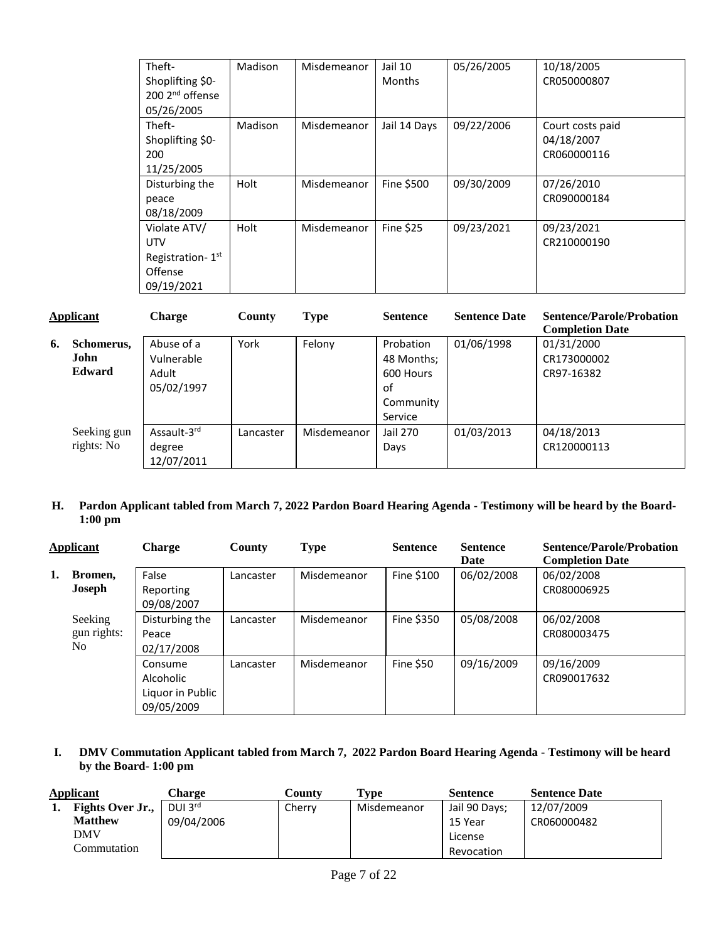| Theft-                       | Madison | Misdemeanor | Jail 10       | 05/26/2005 | 10/18/2005       |
|------------------------------|---------|-------------|---------------|------------|------------------|
| Shoplifting \$0-             |         |             | <b>Months</b> |            | CR050000807      |
| 200 2 <sup>nd</sup> offense  |         |             |               |            |                  |
| 05/26/2005                   |         |             |               |            |                  |
| Theft-                       | Madison | Misdemeanor | Jail 14 Days  | 09/22/2006 | Court costs paid |
| Shoplifting \$0-             |         |             |               |            | 04/18/2007       |
| 200                          |         |             |               |            | CR060000116      |
| 11/25/2005                   |         |             |               |            |                  |
| Disturbing the               | Holt    | Misdemeanor | Fine \$500    | 09/30/2009 | 07/26/2010       |
| peace                        |         |             |               |            | CR090000184      |
| 08/18/2009                   |         |             |               |            |                  |
| Violate ATV/                 | Holt    | Misdemeanor | Fine \$25     | 09/23/2021 | 09/23/2021       |
| <b>UTV</b>                   |         |             |               |            | CR210000190      |
| Registration-1 <sup>st</sup> |         |             |               |            |                  |
| Offense                      |         |             |               |            |                  |
| 09/19/2021                   |         |             |               |            |                  |

| Applicant |               | <b>Charge</b>           | County    | <b>Type</b> | <b>Sentence</b> | <b>Sentence Date</b> | <b>Sentence/Parole/Probation</b><br><b>Completion Date</b> |
|-----------|---------------|-------------------------|-----------|-------------|-----------------|----------------------|------------------------------------------------------------|
| 6.        | Schomerus,    | Abuse of a              | York      | Felony      | Probation       | 01/06/1998           | 01/31/2000                                                 |
|           | <b>John</b>   | Vulnerable              |           |             | 48 Months;      |                      | CR173000002                                                |
|           | <b>Edward</b> | Adult                   |           |             | 600 Hours       |                      | CR97-16382                                                 |
|           |               | 05/02/1997              |           |             | οf              |                      |                                                            |
|           |               |                         |           |             | Community       |                      |                                                            |
|           |               |                         |           |             | Service         |                      |                                                            |
|           | Seeking gun   | Assault-3 <sup>rd</sup> | Lancaster | Misdemeanor | Jail 270        | 01/03/2013           | 04/18/2013                                                 |
|           | rights: No    | degree                  |           |             | Days            |                      | CR120000113                                                |
|           |               | 12/07/2011              |           |             |                 |                      |                                                            |

### **H. Pardon Applicant tabled from March 7, 2022 Pardon Board Hearing Agenda - Testimony will be heard by the Board-1:00 pm**

|    | <b>Applicant</b>              | <b>Charge</b>                                          | County    | <b>Type</b> | <b>Sentence</b> | <b>Sentence</b><br>Date | <b>Sentence/Parole/Probation</b><br><b>Completion Date</b> |
|----|-------------------------------|--------------------------------------------------------|-----------|-------------|-----------------|-------------------------|------------------------------------------------------------|
| 1. | Bromen,<br>Joseph             | False<br>Reporting<br>09/08/2007                       | Lancaster | Misdemeanor | Fine \$100      | 06/02/2008              | 06/02/2008<br>CR080006925                                  |
|    | Seeking<br>gun rights:<br>No. | Disturbing the<br>Peace<br>02/17/2008                  | Lancaster | Misdemeanor | Fine \$350      | 05/08/2008              | 06/02/2008<br>CR080003475                                  |
|    |                               | Consume<br>Alcoholic<br>Liquor in Public<br>09/05/2009 | Lancaster | Misdemeanor | Fine $$50$      | 09/16/2009              | 09/16/2009<br>CR090017632                                  |

## **I. DMV Commutation Applicant tabled from March 7, 2022 Pardon Board Hearing Agenda - Testimony will be heard by the Board- 1:00 pm**

| Applicant |                         | Charge              | Countv | $\mathbf{Type}$ | Sentence      | <b>Sentence Date</b> |
|-----------|-------------------------|---------------------|--------|-----------------|---------------|----------------------|
|           | <b>Fights Over Jr.,</b> | DUI $3^{\text{rd}}$ | Cherry | Misdemeanor     | Jail 90 Days; | 12/07/2009           |
|           | <b>Matthew</b>          | 09/04/2006          |        |                 | 15 Year       | CR060000482          |
|           | DMV                     |                     |        |                 | License       |                      |
|           | Commutation             |                     |        |                 | Revocation    |                      |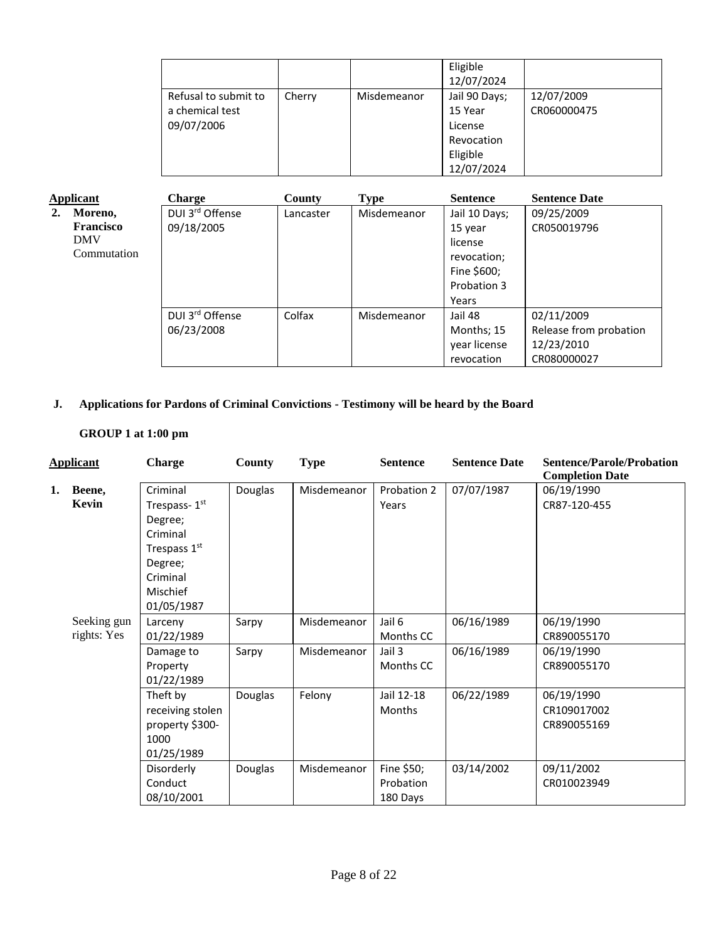|                      |        |             | Eligible<br>12/07/2024 |             |
|----------------------|--------|-------------|------------------------|-------------|
| Refusal to submit to | Cherry | Misdemeanor | Jail 90 Days;          | 12/07/2009  |
| a chemical test      |        |             | 15 Year                | CR060000475 |
| 09/07/2006           |        |             | License                |             |
|                      |        |             | Revocation             |             |
|                      |        |             | Eligible               |             |
|                      |        |             | 12/07/2024             |             |

| <b>Applicant</b> |                  | <b>Charge</b>   | <b>County</b> | Type        | <b>Sentence</b> | <b>Sentence Date</b>   |
|------------------|------------------|-----------------|---------------|-------------|-----------------|------------------------|
| 2.               | Moreno,          | DUI 3rd Offense | Lancaster     | Misdemeanor | Jail 10 Days;   | 09/25/2009             |
|                  | <b>Francisco</b> | 09/18/2005      |               |             | 15 year         | CR050019796            |
|                  | <b>DMV</b>       |                 |               |             | license         |                        |
|                  | Commutation      |                 |               |             | revocation;     |                        |
|                  |                  |                 |               |             | Fine \$600;     |                        |
|                  |                  |                 |               |             | Probation 3     |                        |
|                  |                  |                 |               |             | Years           |                        |
|                  |                  | DUI 3rd Offense | Colfax        | Misdemeanor | Jail 48         | 02/11/2009             |
|                  |                  | 06/23/2008      |               |             | Months; 15      | Release from probation |
|                  |                  |                 |               |             | year license    | 12/23/2010             |
|                  |                  |                 |               |             | revocation      | CR080000027            |

# **J. Applications for Pardons of Criminal Convictions - Testimony will be heard by the Board**

## **GROUP 1 at 1:00 pm**

|    | <b>Applicant</b>           | <b>Charge</b>                                                                                                    | <b>County</b> | <b>Type</b> | <b>Sentence</b>                     | <b>Sentence Date</b> | <b>Sentence/Parole/Probation</b><br><b>Completion Date</b> |
|----|----------------------------|------------------------------------------------------------------------------------------------------------------|---------------|-------------|-------------------------------------|----------------------|------------------------------------------------------------|
| 1. | Beene,<br>Kevin            | Criminal<br>Trespass-1st<br>Degree;<br>Criminal<br>Trespass 1st<br>Degree;<br>Criminal<br>Mischief<br>01/05/1987 | Douglas       | Misdemeanor | Probation 2<br>Years                | 07/07/1987           | 06/19/1990<br>CR87-120-455                                 |
|    | Seeking gun<br>rights: Yes | Larceny<br>01/22/1989                                                                                            | Sarpy         | Misdemeanor | Jail 6<br>Months CC                 | 06/16/1989           | 06/19/1990<br>CR890055170                                  |
|    |                            | Damage to<br>Property<br>01/22/1989                                                                              | Sarpy         | Misdemeanor | Jail 3<br>Months CC                 | 06/16/1989           | 06/19/1990<br>CR890055170                                  |
|    |                            | Theft by<br>receiving stolen<br>property \$300-<br>1000<br>01/25/1989                                            | Douglas       | Felony      | Jail 12-18<br><b>Months</b>         | 06/22/1989           | 06/19/1990<br>CR109017002<br>CR890055169                   |
|    |                            | Disorderly<br>Conduct<br>08/10/2001                                                                              | Douglas       | Misdemeanor | Fine \$50;<br>Probation<br>180 Days | 03/14/2002           | 09/11/2002<br>CR010023949                                  |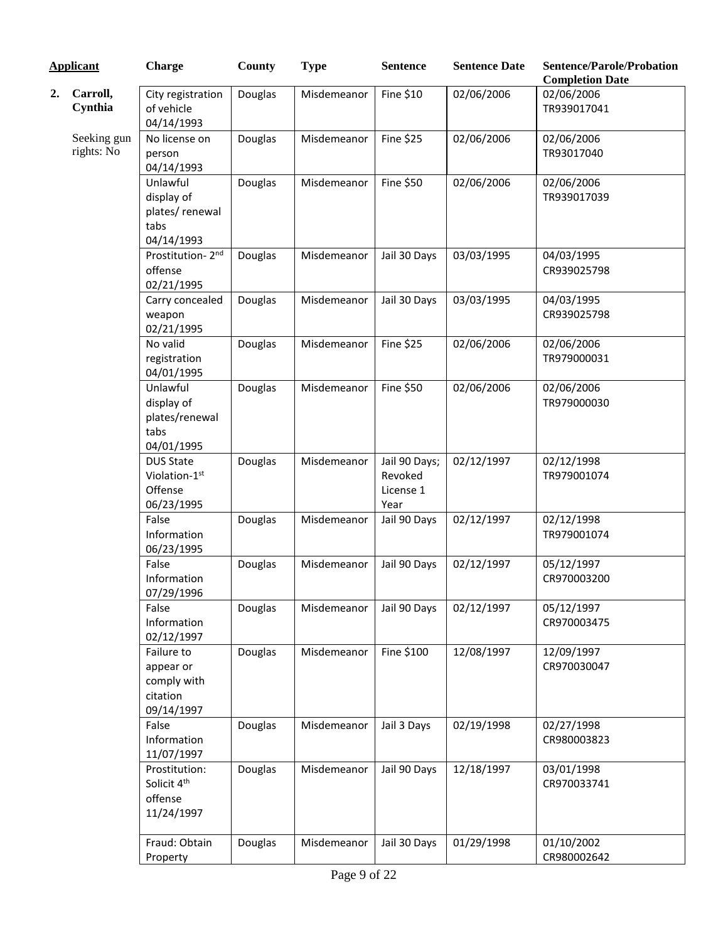| <b>Applicant</b> |                           | <b>Charge</b>                                                    | County  | <b>Type</b> | <b>Sentence</b>                               | <b>Sentence Date</b> | <b>Sentence/Parole/Probation</b><br><b>Completion Date</b> |
|------------------|---------------------------|------------------------------------------------------------------|---------|-------------|-----------------------------------------------|----------------------|------------------------------------------------------------|
| 2.               | Carroll,<br>Cynthia       | City registration<br>of vehicle<br>04/14/1993                    | Douglas | Misdemeanor | Fine \$10                                     | 02/06/2006           | 02/06/2006<br>TR939017041                                  |
|                  | Seeking gun<br>rights: No | No license on<br>person<br>04/14/1993                            | Douglas | Misdemeanor | <b>Fine \$25</b>                              | 02/06/2006           | 02/06/2006<br>TR93017040                                   |
|                  |                           | Unlawful<br>display of<br>plates/renewal<br>tabs<br>04/14/1993   | Douglas | Misdemeanor | Fine \$50                                     | 02/06/2006           | 02/06/2006<br>TR939017039                                  |
|                  |                           | Prostitution-2nd<br>offense<br>02/21/1995                        | Douglas | Misdemeanor | Jail 30 Days                                  | 03/03/1995           | 04/03/1995<br>CR939025798                                  |
|                  |                           | Carry concealed<br>weapon<br>02/21/1995                          | Douglas | Misdemeanor | Jail 30 Days                                  | 03/03/1995           | 04/03/1995<br>CR939025798                                  |
|                  |                           | No valid<br>registration<br>04/01/1995                           | Douglas | Misdemeanor | <b>Fine \$25</b>                              | 02/06/2006           | 02/06/2006<br>TR979000031                                  |
|                  |                           | Unlawful<br>display of<br>plates/renewal<br>tabs<br>04/01/1995   | Douglas | Misdemeanor | Fine \$50                                     | 02/06/2006           | 02/06/2006<br>TR979000030                                  |
|                  |                           | <b>DUS State</b><br>Violation-1st<br>Offense<br>06/23/1995       | Douglas | Misdemeanor | Jail 90 Days;<br>Revoked<br>License 1<br>Year | 02/12/1997           | 02/12/1998<br>TR979001074                                  |
|                  |                           | False<br>Information<br>06/23/1995                               | Douglas | Misdemeanor | Jail 90 Days                                  | 02/12/1997           | 02/12/1998<br>TR979001074                                  |
|                  |                           | False<br>Information<br>07/29/1996                               | Douglas | Misdemeanor | Jail 90 Days                                  | 02/12/1997           | 05/12/1997<br>CR970003200                                  |
|                  |                           | False<br>Information<br>02/12/1997                               | Douglas | Misdemeanor | Jail 90 Days                                  | 02/12/1997           | 05/12/1997<br>CR970003475                                  |
|                  |                           | Failure to<br>appear or<br>comply with<br>citation<br>09/14/1997 | Douglas | Misdemeanor | Fine \$100                                    | 12/08/1997           | 12/09/1997<br>CR970030047                                  |
|                  |                           | False<br>Information<br>11/07/1997                               | Douglas | Misdemeanor | Jail 3 Days                                   | 02/19/1998           | 02/27/1998<br>CR980003823                                  |
|                  |                           | Prostitution:<br>Solicit 4th<br>offense<br>11/24/1997            | Douglas | Misdemeanor | Jail 90 Days                                  | 12/18/1997           | 03/01/1998<br>CR970033741                                  |
|                  |                           | Fraud: Obtain<br>Property                                        | Douglas | Misdemeanor | Jail 30 Days                                  | 01/29/1998           | 01/10/2002<br>CR980002642                                  |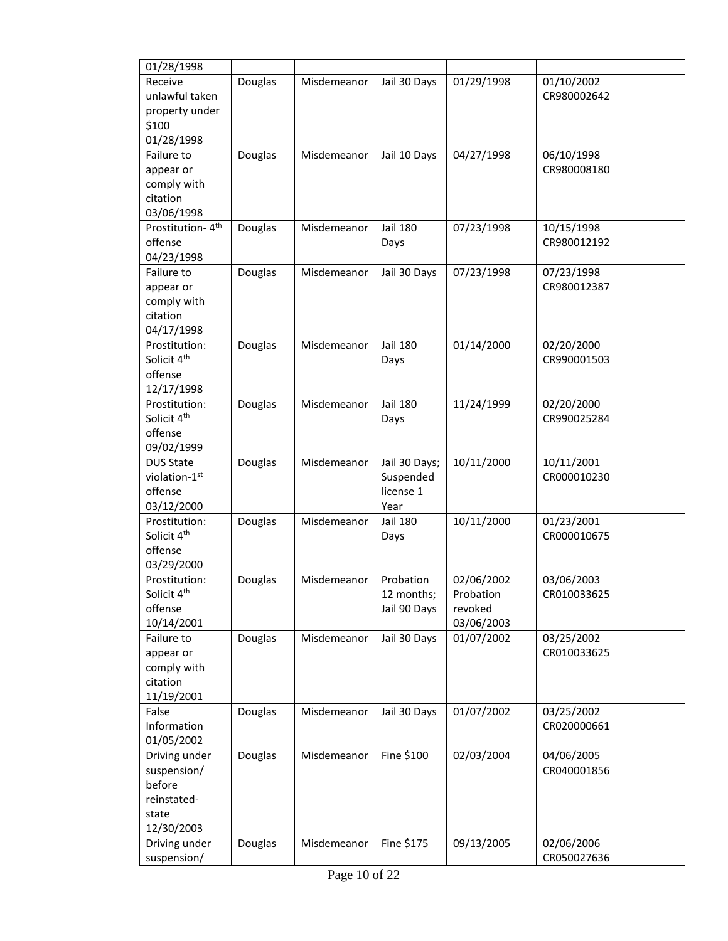| 01/28/1998                   |         |             |                 |            |                           |
|------------------------------|---------|-------------|-----------------|------------|---------------------------|
| Receive                      | Douglas | Misdemeanor | Jail 30 Days    | 01/29/1998 | 01/10/2002                |
| unlawful taken               |         |             |                 |            | CR980002642               |
| property under               |         |             |                 |            |                           |
| \$100                        |         |             |                 |            |                           |
| 01/28/1998                   |         |             |                 |            |                           |
| Failure to                   | Douglas | Misdemeanor | Jail 10 Days    | 04/27/1998 | 06/10/1998                |
| appear or                    |         |             |                 |            | CR980008180               |
| comply with                  |         |             |                 |            |                           |
| citation                     |         |             |                 |            |                           |
| 03/06/1998                   |         |             |                 |            |                           |
| Prostitution-4 <sup>th</sup> | Douglas | Misdemeanor | Jail 180        | 07/23/1998 | 10/15/1998                |
| offense                      |         |             | Days            |            | CR980012192               |
| 04/23/1998                   |         |             |                 |            |                           |
| Failure to                   | Douglas | Misdemeanor | Jail 30 Days    | 07/23/1998 | 07/23/1998                |
| appear or                    |         |             |                 |            | CR980012387               |
| comply with                  |         |             |                 |            |                           |
| citation                     |         |             |                 |            |                           |
| 04/17/1998<br>Prostitution:  |         |             | <b>Jail 180</b> | 01/14/2000 |                           |
| Solicit 4 <sup>th</sup>      | Douglas | Misdemeanor | Days            |            | 02/20/2000<br>CR990001503 |
| offense                      |         |             |                 |            |                           |
| 12/17/1998                   |         |             |                 |            |                           |
| Prostitution:                | Douglas | Misdemeanor | <b>Jail 180</b> | 11/24/1999 | 02/20/2000                |
| Solicit 4 <sup>th</sup>      |         |             | Days            |            | CR990025284               |
| offense                      |         |             |                 |            |                           |
| 09/02/1999                   |         |             |                 |            |                           |
| <b>DUS State</b>             | Douglas | Misdemeanor | Jail 30 Days;   | 10/11/2000 | 10/11/2001                |
| violation-1st                |         |             | Suspended       |            | CR000010230               |
| offense                      |         |             | license 1       |            |                           |
| 03/12/2000                   |         |             | Year            |            |                           |
| Prostitution:                | Douglas | Misdemeanor | Jail 180        | 10/11/2000 | 01/23/2001                |
| Solicit 4 <sup>th</sup>      |         |             | Days            |            | CR000010675               |
| offense                      |         |             |                 |            |                           |
| 03/29/2000                   |         |             |                 |            |                           |
| Prostitution:                | Douglas | Misdemeanor | Probation       | 02/06/2002 | 03/06/2003                |
| Solicit 4 <sup>th</sup>      |         |             | 12 months;      | Probation  | CR010033625               |
| offense                      |         |             | Jail 90 Days    | revoked    |                           |
| 10/14/2001                   |         |             |                 | 03/06/2003 |                           |
| Failure to                   | Douglas | Misdemeanor | Jail 30 Days    | 01/07/2002 | 03/25/2002                |
| appear or                    |         |             |                 |            | CR010033625               |
| comply with                  |         |             |                 |            |                           |
| citation                     |         |             |                 |            |                           |
| 11/19/2001                   |         |             |                 |            |                           |
| False                        | Douglas | Misdemeanor | Jail 30 Days    | 01/07/2002 | 03/25/2002                |
| Information                  |         |             |                 |            | CR020000661               |
| 01/05/2002                   |         |             |                 |            |                           |
| Driving under                | Douglas | Misdemeanor | Fine \$100      | 02/03/2004 | 04/06/2005                |
| suspension/                  |         |             |                 |            | CR040001856               |
| before                       |         |             |                 |            |                           |
| reinstated-                  |         |             |                 |            |                           |
| state                        |         |             |                 |            |                           |
| 12/30/2003                   |         |             |                 |            |                           |
| Driving under                | Douglas | Misdemeanor | Fine \$175      | 09/13/2005 | 02/06/2006                |
| suspension/                  |         |             |                 |            | CR050027636               |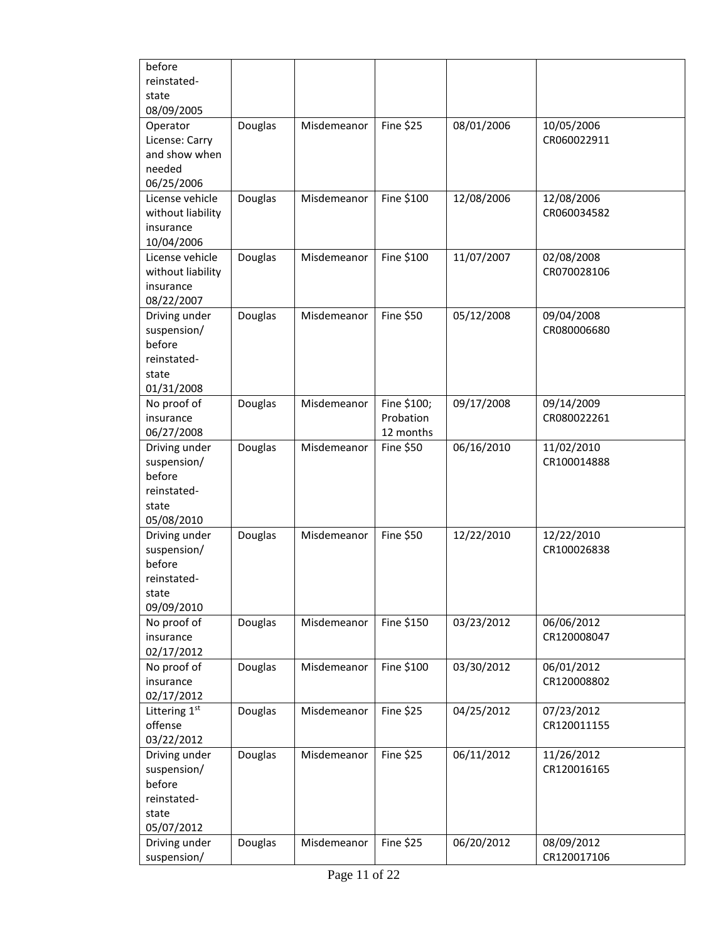| before            |         |             |                  |            |             |
|-------------------|---------|-------------|------------------|------------|-------------|
| reinstated-       |         |             |                  |            |             |
| state             |         |             |                  |            |             |
| 08/09/2005        |         |             |                  |            |             |
| Operator          | Douglas | Misdemeanor | <b>Fine \$25</b> | 08/01/2006 | 10/05/2006  |
| License: Carry    |         |             |                  |            | CR060022911 |
| and show when     |         |             |                  |            |             |
| needed            |         |             |                  |            |             |
| 06/25/2006        |         |             |                  |            |             |
| License vehicle   | Douglas | Misdemeanor | Fine \$100       | 12/08/2006 | 12/08/2006  |
| without liability |         |             |                  |            | CR060034582 |
| insurance         |         |             |                  |            |             |
| 10/04/2006        |         |             |                  |            |             |
| License vehicle   | Douglas | Misdemeanor | Fine \$100       | 11/07/2007 | 02/08/2008  |
| without liability |         |             |                  |            | CR070028106 |
| insurance         |         |             |                  |            |             |
| 08/22/2007        |         |             |                  |            |             |
| Driving under     | Douglas | Misdemeanor | <b>Fine \$50</b> | 05/12/2008 | 09/04/2008  |
| suspension/       |         |             |                  |            | CR080006680 |
| before            |         |             |                  |            |             |
| reinstated-       |         |             |                  |            |             |
| state             |         |             |                  |            |             |
| 01/31/2008        |         |             |                  |            |             |
| No proof of       | Douglas | Misdemeanor | Fine \$100;      | 09/17/2008 | 09/14/2009  |
| insurance         |         |             | Probation        |            | CR080022261 |
| 06/27/2008        |         |             | 12 months        |            |             |
| Driving under     | Douglas | Misdemeanor | Fine \$50        | 06/16/2010 | 11/02/2010  |
| suspension/       |         |             |                  |            | CR100014888 |
| before            |         |             |                  |            |             |
| reinstated-       |         |             |                  |            |             |
| state             |         |             |                  |            |             |
| 05/08/2010        |         |             |                  |            |             |
| Driving under     | Douglas | Misdemeanor | Fine \$50        | 12/22/2010 | 12/22/2010  |
| suspension/       |         |             |                  |            | CR100026838 |
| before            |         |             |                  |            |             |
| reinstated-       |         |             |                  |            |             |
| state             |         |             |                  |            |             |
| 09/09/2010        |         |             |                  |            |             |
| No proof of       | Douglas | Misdemeanor | Fine \$150       | 03/23/2012 | 06/06/2012  |
| insurance         |         |             |                  |            | CR120008047 |
| 02/17/2012        |         |             |                  |            |             |
| No proof of       | Douglas | Misdemeanor | Fine \$100       | 03/30/2012 | 06/01/2012  |
| insurance         |         |             |                  |            | CR120008802 |
| 02/17/2012        |         |             |                  |            |             |
| Littering 1st     | Douglas | Misdemeanor | <b>Fine \$25</b> | 04/25/2012 | 07/23/2012  |
| offense           |         |             |                  |            | CR120011155 |
| 03/22/2012        |         |             |                  |            |             |
| Driving under     | Douglas | Misdemeanor | <b>Fine \$25</b> | 06/11/2012 | 11/26/2012  |
| suspension/       |         |             |                  |            | CR120016165 |
| before            |         |             |                  |            |             |
| reinstated-       |         |             |                  |            |             |
| state             |         |             |                  |            |             |
| 05/07/2012        |         |             |                  |            |             |
| Driving under     | Douglas | Misdemeanor | <b>Fine \$25</b> | 06/20/2012 | 08/09/2012  |
| suspension/       |         |             |                  |            | CR120017106 |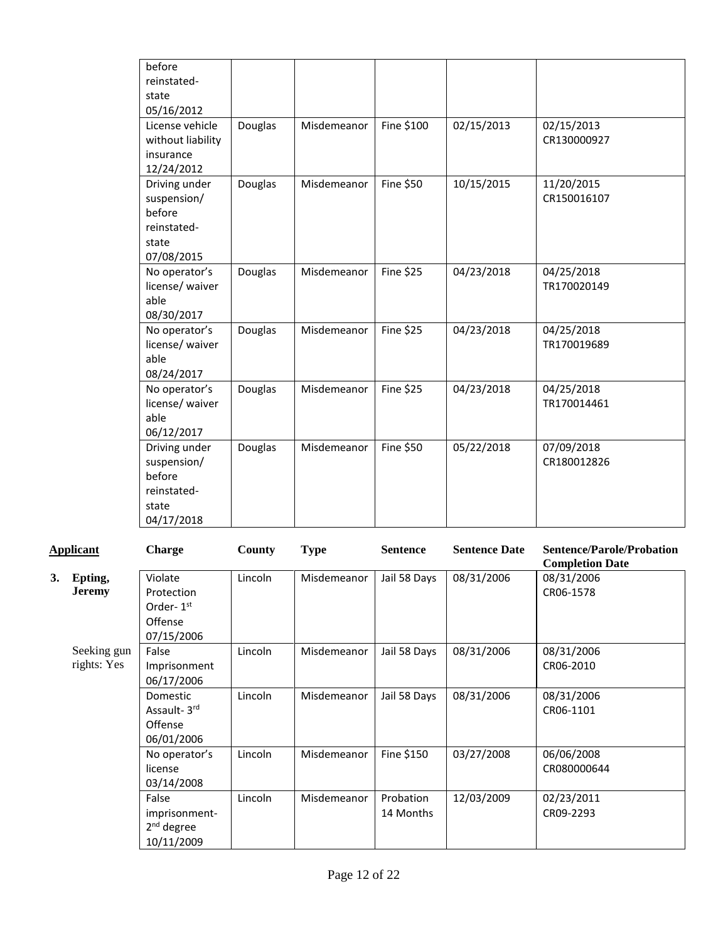| before<br>reinstated- |         |             |                  |            |             |
|-----------------------|---------|-------------|------------------|------------|-------------|
| state                 |         |             |                  |            |             |
| 05/16/2012            |         |             |                  |            |             |
| License vehicle       | Douglas | Misdemeanor | Fine \$100       | 02/15/2013 | 02/15/2013  |
| without liability     |         |             |                  |            | CR130000927 |
| insurance             |         |             |                  |            |             |
| 12/24/2012            |         |             |                  |            |             |
| Driving under         | Douglas | Misdemeanor | <b>Fine \$50</b> | 10/15/2015 | 11/20/2015  |
| suspension/           |         |             |                  |            | CR150016107 |
| before<br>reinstated- |         |             |                  |            |             |
| state                 |         |             |                  |            |             |
| 07/08/2015            |         |             |                  |            |             |
| No operator's         | Douglas | Misdemeanor | <b>Fine \$25</b> | 04/23/2018 | 04/25/2018  |
| license/ waiver       |         |             |                  |            | TR170020149 |
| able                  |         |             |                  |            |             |
| 08/30/2017            |         |             |                  |            |             |
| No operator's         | Douglas | Misdemeanor | <b>Fine \$25</b> | 04/23/2018 | 04/25/2018  |
| license/ waiver       |         |             |                  |            | TR170019689 |
| able                  |         |             |                  |            |             |
| 08/24/2017            |         |             |                  |            |             |
| No operator's         | Douglas | Misdemeanor | <b>Fine \$25</b> | 04/23/2018 | 04/25/2018  |
| license/ waiver       |         |             |                  |            | TR170014461 |
| able                  |         |             |                  |            |             |
| 06/12/2017            |         |             |                  |            |             |
| Driving under         | Douglas | Misdemeanor | <b>Fine \$50</b> | 05/22/2018 | 07/09/2018  |
| suspension/           |         |             |                  |            | CR180012826 |
| before                |         |             |                  |            |             |
| reinstated-           |         |             |                  |            |             |
| state<br>04/17/2018   |         |             |                  |            |             |
|                       |         |             |                  |            |             |

|    | <b>Applicant</b>           | <b>Charge</b>                                                           | County  | <b>Type</b> | <b>Sentence</b>        | <b>Sentence Date</b> | <b>Sentence/Parole/Probation</b><br><b>Completion Date</b> |
|----|----------------------------|-------------------------------------------------------------------------|---------|-------------|------------------------|----------------------|------------------------------------------------------------|
| 3. | Epting,<br><b>Jeremy</b>   | Violate<br>Protection<br>Order-1 <sup>st</sup><br>Offense<br>07/15/2006 | Lincoln | Misdemeanor | Jail 58 Days           | 08/31/2006           | 08/31/2006<br>CR06-1578                                    |
|    | Seeking gun<br>rights: Yes | False<br>Imprisonment<br>06/17/2006                                     | Lincoln | Misdemeanor | Jail 58 Days           | 08/31/2006           | 08/31/2006<br>CR06-2010                                    |
|    |                            | Domestic<br>Assault-3rd<br>Offense<br>06/01/2006                        | Lincoln | Misdemeanor | Jail 58 Days           | 08/31/2006           | 08/31/2006<br>CR06-1101                                    |
|    |                            | No operator's<br>license<br>03/14/2008                                  | Lincoln | Misdemeanor | Fine \$150             | 03/27/2008           | 06/06/2008<br>CR080000644                                  |
|    |                            | False<br>imprisonment-<br>$2nd$ degree<br>10/11/2009                    | Lincoln | Misdemeanor | Probation<br>14 Months | 12/03/2009           | 02/23/2011<br>CR09-2293                                    |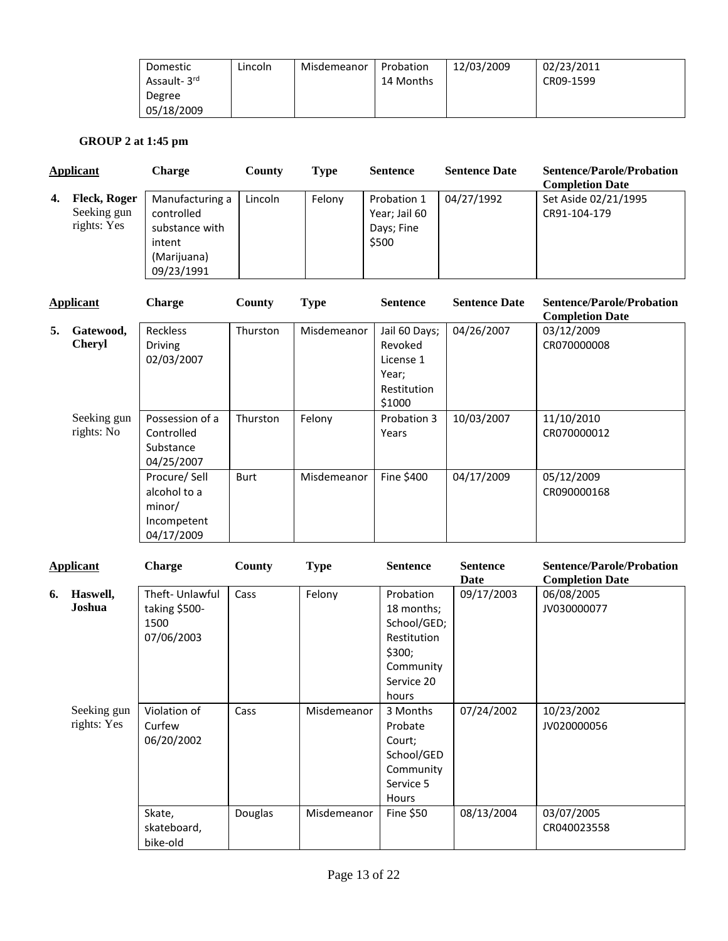| Domestic    | Lincoln | Misdemeanor | Probation | 12/03/2009 | 02/23/2011 |
|-------------|---------|-------------|-----------|------------|------------|
| Assault-3rd |         |             | 14 Months |            | CR09-1599  |
| Degree      |         |             |           |            |            |
| 05/18/2009  |         |             |           |            |            |

# **GROUP 2 at 1:45 pm**

| Applicant |                                                   | <b>Charge</b>                                                                          | County  | <b>Type</b> | <b>Sentence</b>                                     | <b>Sentence Date</b> | <b>Sentence/Parole/Probation</b><br><b>Completion Date</b> |
|-----------|---------------------------------------------------|----------------------------------------------------------------------------------------|---------|-------------|-----------------------------------------------------|----------------------|------------------------------------------------------------|
| 4.        | <b>Fleck, Roger</b><br>Seeking gun<br>rights: Yes | Manufacturing a<br>controlled<br>substance with<br>intent<br>(Marijuana)<br>09/23/1991 | Lincoln | Felony      | Probation 1<br>Year; Jail 60<br>Days; Fine<br>\$500 | 04/27/1992           | Set Aside 02/21/1995<br>CR91-104-179                       |

| <b>Applicant</b> |                            | <b>Charge</b>                                                       | County      | <b>Type</b> | <b>Sentence</b>                                                         | <b>Sentence Date</b> | <b>Sentence/Parole/Probation</b><br><b>Completion Date</b> |
|------------------|----------------------------|---------------------------------------------------------------------|-------------|-------------|-------------------------------------------------------------------------|----------------------|------------------------------------------------------------|
| 5.               | Gatewood,<br><b>Cheryl</b> | <b>Reckless</b><br><b>Driving</b><br>02/03/2007                     | Thurston    | Misdemeanor | Jail 60 Days;<br>Revoked<br>License 1<br>Year;<br>Restitution<br>\$1000 | 04/26/2007           | 03/12/2009<br>CR070000008                                  |
|                  | Seeking gun<br>rights: No  | Possession of a<br>Controlled<br>Substance<br>04/25/2007            | Thurston    | Felony      | Probation 3<br>Years                                                    | 10/03/2007           | 11/10/2010<br>CR070000012                                  |
|                  |                            | Procure/Sell<br>alcohol to a<br>minor/<br>Incompetent<br>04/17/2009 | <b>Burt</b> | Misdemeanor | Fine \$400                                                              | 04/17/2009           | 05/12/2009<br>CR090000168                                  |

|    | <b>Applicant</b>           | <b>Charge</b>                                         | County         | <b>Type</b> | <b>Sentence</b>                                                                                     | <b>Sentence</b>    | <b>Sentence/Parole/Probation</b>                    |
|----|----------------------------|-------------------------------------------------------|----------------|-------------|-----------------------------------------------------------------------------------------------------|--------------------|-----------------------------------------------------|
| 6. | Haswell,<br>Joshua         | Theft-Unlawful<br>taking \$500-<br>1500<br>07/06/2003 | Cass           | Felony      | Probation<br>18 months;<br>School/GED;<br>Restitution<br>\$300;<br>Community<br>Service 20<br>hours | Date<br>09/17/2003 | <b>Completion Date</b><br>06/08/2005<br>JV030000077 |
|    | Seeking gun<br>rights: Yes | Violation of<br>Curfew<br>06/20/2002                  | Cass           | Misdemeanor | 3 Months<br>Probate<br>Court;<br>School/GED<br>Community<br>Service 5<br><b>Hours</b>               | 07/24/2002         | 10/23/2002<br>JV020000056                           |
|    |                            | Skate,<br>skateboard,<br>bike-old                     | <b>Douglas</b> | Misdemeanor | Fine \$50                                                                                           | 08/13/2004         | 03/07/2005<br>CR040023558                           |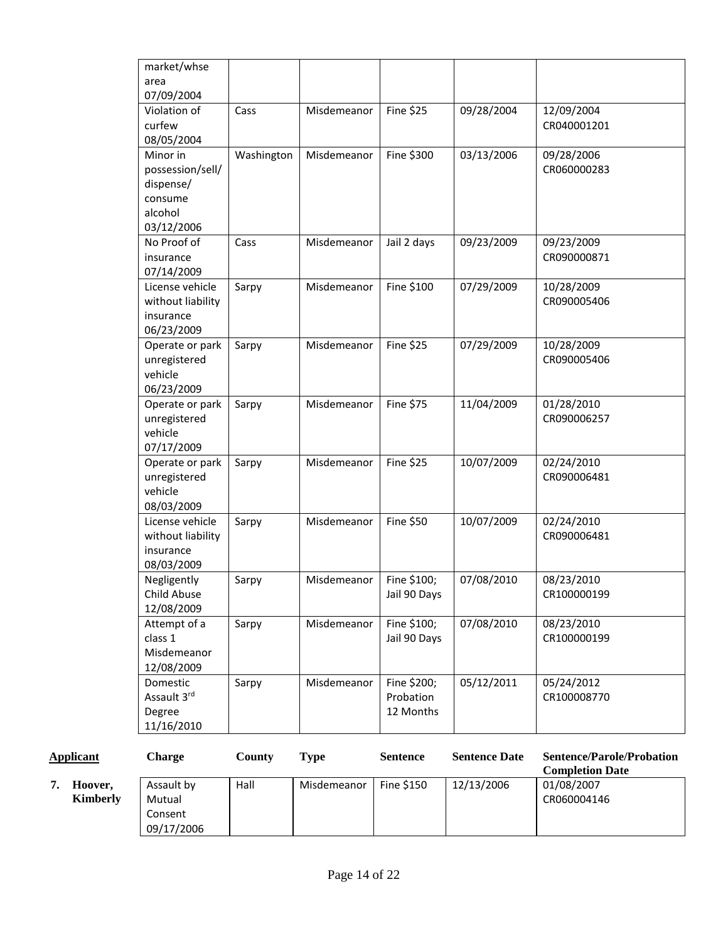| market/whse<br>area            |            |             |                  |            |                           |
|--------------------------------|------------|-------------|------------------|------------|---------------------------|
| 07/09/2004                     |            |             |                  |            |                           |
| Violation of                   | Cass       | Misdemeanor | <b>Fine \$25</b> | 09/28/2004 | 12/09/2004                |
| curfew                         |            |             |                  |            | CR040001201               |
| 08/05/2004                     |            |             |                  |            |                           |
| Minor in                       | Washington | Misdemeanor | Fine \$300       | 03/13/2006 | 09/28/2006                |
| possession/sell/               |            |             |                  |            | CR060000283               |
| dispense/                      |            |             |                  |            |                           |
| consume                        |            |             |                  |            |                           |
| alcohol                        |            |             |                  |            |                           |
| 03/12/2006                     |            |             |                  |            |                           |
| No Proof of<br>Cass            |            | Misdemeanor | Jail 2 days      | 09/23/2009 | 09/23/2009                |
| insurance                      |            |             |                  |            | CR090000871               |
| 07/14/2009                     |            |             |                  |            |                           |
| License vehicle                | Sarpy      | Misdemeanor | Fine \$100       | 07/29/2009 | 10/28/2009<br>CR090005406 |
| without liability<br>insurance |            |             |                  |            |                           |
| 06/23/2009                     |            |             |                  |            |                           |
| Operate or park                | Sarpy      | Misdemeanor | <b>Fine \$25</b> | 07/29/2009 | 10/28/2009                |
| unregistered                   |            |             |                  |            | CR090005406               |
| vehicle                        |            |             |                  |            |                           |
| 06/23/2009                     |            |             |                  |            |                           |
| Operate or park                | Sarpy      | Misdemeanor | Fine \$75        | 11/04/2009 | 01/28/2010                |
| unregistered                   |            |             |                  |            | CR090006257               |
| vehicle                        |            |             |                  |            |                           |
| 07/17/2009                     |            |             |                  |            |                           |
| Operate or park                | Sarpy      | Misdemeanor | <b>Fine \$25</b> | 10/07/2009 | 02/24/2010                |
| unregistered                   |            |             |                  |            | CR090006481               |
| vehicle                        |            |             |                  |            |                           |
| 08/03/2009                     |            |             |                  |            |                           |
| License vehicle                | Sarpy      | Misdemeanor | Fine \$50        | 10/07/2009 | 02/24/2010                |
| without liability              |            |             |                  |            | CR090006481               |
| insurance<br>08/03/2009        |            |             |                  |            |                           |
| Negligently                    | Sarpy      | Misdemeanor | Fine \$100;      | 07/08/2010 | 08/23/2010                |
| Child Abuse                    |            |             | Jail 90 Days     |            | CR100000199               |
| 12/08/2009                     |            |             |                  |            |                           |
| Attempt of a                   | Sarpy      | Misdemeanor | Fine \$100;      | 07/08/2010 | 08/23/2010                |
| class 1                        |            |             | Jail 90 Days     |            | CR100000199               |
| Misdemeanor                    |            |             |                  |            |                           |
| 12/08/2009                     |            |             |                  |            |                           |
| Domestic                       | Sarpy      | Misdemeanor | Fine \$200;      | 05/12/2011 | 05/24/2012                |
| Assault 3rd                    |            |             | Probation        |            | CR100008770               |
| Degree                         |            |             | 12 Months        |            |                           |
| 11/16/2010                     |            |             |                  |            |                           |

| <b>Applicant</b> |                            | Charge                                        | Countv | Type        | <b>Sentence</b>   | <b>Sentence Date</b> | <b>Sentence/Parole/Probation</b><br><b>Completion Date</b> |
|------------------|----------------------------|-----------------------------------------------|--------|-------------|-------------------|----------------------|------------------------------------------------------------|
|                  | Hoover,<br><b>Kimberly</b> | Assault by<br>Mutual<br>Consent<br>09/17/2006 | Hall   | Misdemeanor | <b>Fine \$150</b> | 12/13/2006           | 01/08/2007<br>CR060004146                                  |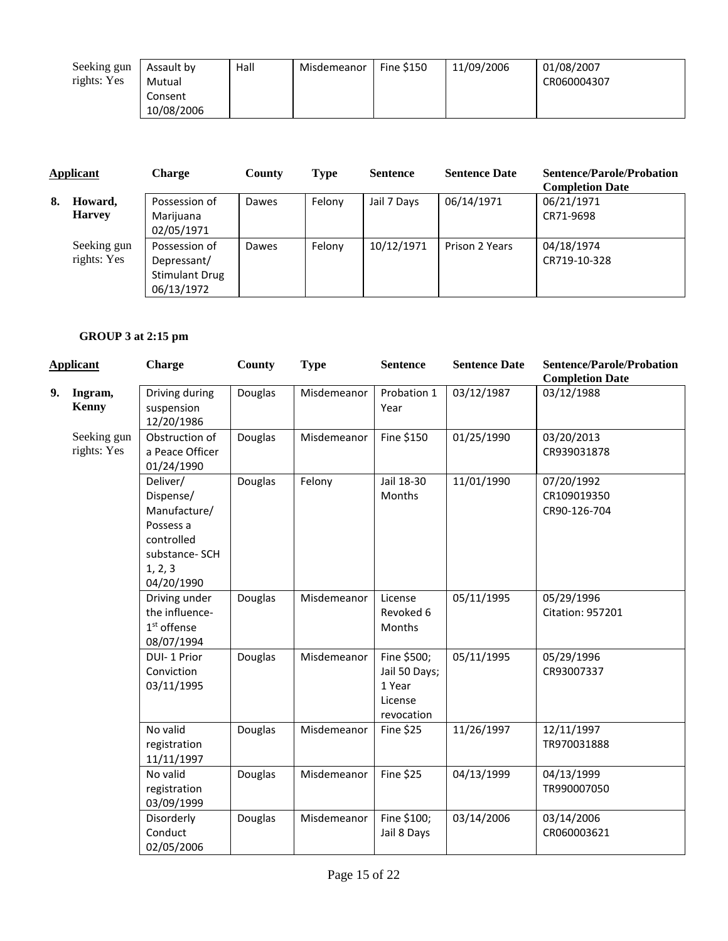| Seeking gun | Assault by | Hall | Misdemeanor | <b>Fine \$150</b> | 11/09/2006 | 01/08/2007  |
|-------------|------------|------|-------------|-------------------|------------|-------------|
| rights: Yes | Mutual     |      |             |                   |            | CR060004307 |
|             | Consent    |      |             |                   |            |             |
|             | 10/08/2006 |      |             |                   |            |             |

| <b>Applicant</b> |                            | <b>Charge</b>                                                       | County | <b>Type</b> | <b>Sentence</b> | <b>Sentence Date</b> | <b>Sentence/Parole/Probation</b><br><b>Completion Date</b> |
|------------------|----------------------------|---------------------------------------------------------------------|--------|-------------|-----------------|----------------------|------------------------------------------------------------|
| 8.               | Howard,<br><b>Harvey</b>   | Possession of<br>Marijuana<br>02/05/1971                            | Dawes  | Felony      | Jail 7 Days     | 06/14/1971           | 06/21/1971<br>CR71-9698                                    |
|                  | Seeking gun<br>rights: Yes | Possession of<br>Depressant/<br><b>Stimulant Drug</b><br>06/13/1972 | Dawes  | Felony      | 10/12/1971      | Prison 2 Years       | 04/18/1974<br>CR719-10-328                                 |

# **GROUP 3 at 2:15 pm**

|    | <b>Applicant</b>           | <b>Charge</b>                                                                                              | <b>County</b> | <b>Type</b> | <b>Sentence</b>                                                 | <b>Sentence Date</b> | <b>Sentence/Parole/Probation</b><br><b>Completion Date</b> |
|----|----------------------------|------------------------------------------------------------------------------------------------------------|---------------|-------------|-----------------------------------------------------------------|----------------------|------------------------------------------------------------|
| 9. | Ingram,<br><b>Kenny</b>    | Driving during<br>suspension<br>12/20/1986                                                                 | Douglas       | Misdemeanor | Probation 1<br>Year                                             | 03/12/1987           | 03/12/1988                                                 |
|    | Seeking gun<br>rights: Yes | Obstruction of<br>a Peace Officer<br>01/24/1990                                                            | Douglas       | Misdemeanor | Fine \$150                                                      | 01/25/1990           | 03/20/2013<br>CR939031878                                  |
|    |                            | Deliver/<br>Dispense/<br>Manufacture/<br>Possess a<br>controlled<br>substance-SCH<br>1, 2, 3<br>04/20/1990 | Douglas       | Felony      | Jail 18-30<br>Months                                            | 11/01/1990           | 07/20/1992<br>CR109019350<br>CR90-126-704                  |
|    |                            | Driving under<br>the influence-<br>1 <sup>st</sup> offense<br>08/07/1994                                   | Douglas       | Misdemeanor | License<br>Revoked 6<br>Months                                  | 05/11/1995           | 05/29/1996<br><b>Citation: 957201</b>                      |
|    |                            | DUI-1 Prior<br>Conviction<br>03/11/1995                                                                    | Douglas       | Misdemeanor | Fine \$500;<br>Jail 50 Days;<br>1 Year<br>License<br>revocation | 05/11/1995           | 05/29/1996<br>CR93007337                                   |
|    |                            | No valid<br>registration<br>11/11/1997                                                                     | Douglas       | Misdemeanor | Fine \$25                                                       | 11/26/1997           | 12/11/1997<br>TR970031888                                  |
|    |                            | No valid<br>registration<br>03/09/1999                                                                     | Douglas       | Misdemeanor | <b>Fine \$25</b>                                                | 04/13/1999           | 04/13/1999<br>TR990007050                                  |
|    |                            | Disorderly<br>Conduct<br>02/05/2006                                                                        | Douglas       | Misdemeanor | Fine \$100;<br>Jail 8 Days                                      | 03/14/2006           | 03/14/2006<br>CR060003621                                  |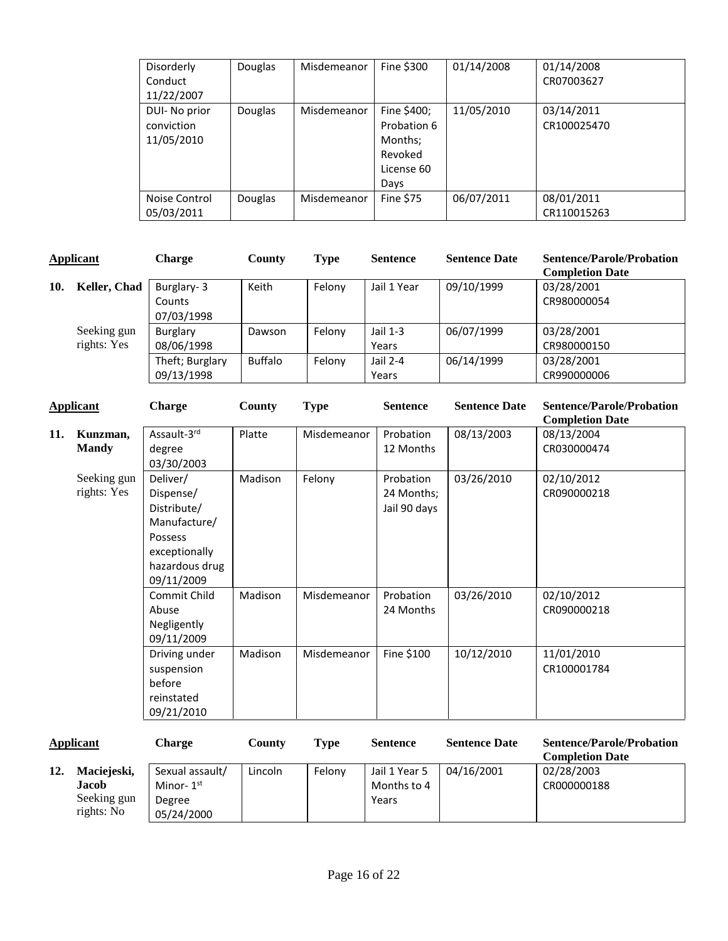| Disorderly<br>Conduct<br>11/22/2007       | <b>Douglas</b> | Misdemeanor | Fine \$300                                                             | 01/14/2008 | 01/14/2008<br>CR07003627  |
|-------------------------------------------|----------------|-------------|------------------------------------------------------------------------|------------|---------------------------|
| DUI- No prior<br>conviction<br>11/05/2010 | <b>Douglas</b> | Misdemeanor | Fine \$400;<br>Probation 6<br>Months;<br>Revoked<br>License 60<br>Days | 11/05/2010 | 03/14/2011<br>CR100025470 |
| Noise Control<br>05/03/2011               | <b>Douglas</b> | Misdemeanor | Fine \$75                                                              | 06/07/2011 | 08/01/2011<br>CR110015263 |

| <b>Applicant</b> |                            | Charge                             | County         | <b>Type</b> | <b>Sentence</b>     | <b>Sentence Date</b> | <b>Sentence/Parole/Probation</b><br><b>Completion Date</b> |
|------------------|----------------------------|------------------------------------|----------------|-------------|---------------------|----------------------|------------------------------------------------------------|
| 10.              | Keller, Chad               | Burglary-3<br>Counts<br>07/03/1998 | Keith          | Felony      | Jail 1 Year         | 09/10/1999           | 03/28/2001<br>CR980000054                                  |
|                  | Seeking gun<br>rights: Yes | Burglary<br>08/06/1998             | Dawson         | Felony      | Jail $1-3$<br>Years | 06/07/1999           | 03/28/2001<br>CR980000150                                  |
|                  |                            | Theft; Burglary<br>09/13/1998      | <b>Buffalo</b> | Felony      | Jail 2-4<br>Years   | 06/14/1999           | 03/28/2001<br>CR990000006                                  |
|                  | <b>Annlicant</b>           | <sup>C</sup> haroe.                | County         | Tyne        | <b>Sentence</b>     | <b>Sentence Date</b> | Sentence/Parole/Probation                                  |

|     | <b>Applicant</b>           | <b>Charge</b>                                                                                                    | <b>County</b> | <b>Type</b> | <b>Sentence</b>                         | <b>Sentence Date</b> | <b>Sentence/Parole/Probation</b><br><b>Completion Date</b> |
|-----|----------------------------|------------------------------------------------------------------------------------------------------------------|---------------|-------------|-----------------------------------------|----------------------|------------------------------------------------------------|
| 11. | Kunzman,<br><b>Mandy</b>   | Assault-3rd<br>degree<br>03/30/2003                                                                              | Platte        | Misdemeanor | Probation<br>12 Months                  | 08/13/2003           | 08/13/2004<br>CR030000474                                  |
|     | Seeking gun<br>rights: Yes | Deliver/<br>Dispense/<br>Distribute/<br>Manufacture/<br>Possess<br>exceptionally<br>hazardous drug<br>09/11/2009 | Madison       | Felony      | Probation<br>24 Months;<br>Jail 90 days | 03/26/2010           | 02/10/2012<br>CR090000218                                  |
|     |                            | Commit Child<br>Abuse<br>Negligently<br>09/11/2009                                                               | Madison       | Misdemeanor | Probation<br>24 Months                  | 03/26/2010           | 02/10/2012<br>CR090000218                                  |
|     |                            | Driving under<br>suspension<br>before<br>reinstated<br>09/21/2010                                                | Madison       | Misdemeanor | Fine \$100                              | 10/12/2010           | 11/01/2010<br>CR100001784                                  |

| <b>Applicant</b> |                                                          | Charge                                                  | County  | Tvpe   | <b>Sentence</b>                       | <b>Sentence Date</b> | <b>Sentence/Parole/Probation</b><br><b>Completion Date</b> |
|------------------|----------------------------------------------------------|---------------------------------------------------------|---------|--------|---------------------------------------|----------------------|------------------------------------------------------------|
| 12.              | Maciejeski,<br><b>Jacob</b><br>Seeking gun<br>rights: No | Sexual assault/<br>Minor- $1st$<br>Degree<br>05/24/2000 | Lincoln | Felony | Jail 1 Year 5<br>Months to 4<br>Years | 04/16/2001           | 02/28/2003<br>CR000000188                                  |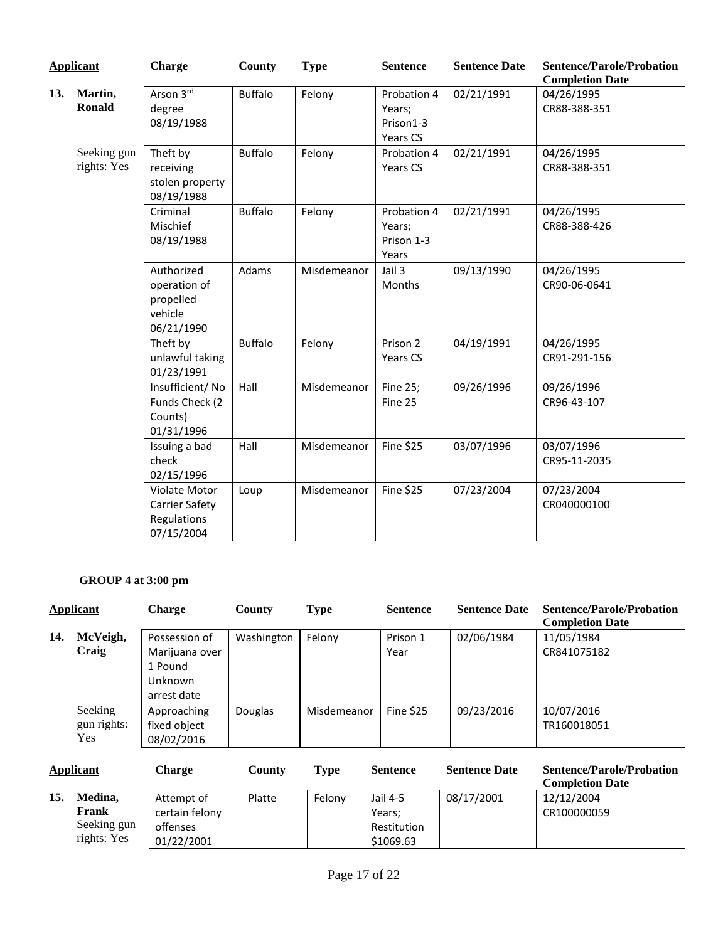|     | <b>Applicant</b>           | <b>Charge</b>                                                       | <b>County</b>  | <b>Type</b> | <b>Sentence</b>                                | <b>Sentence Date</b> | <b>Sentence/Parole/Probation</b>                     |
|-----|----------------------------|---------------------------------------------------------------------|----------------|-------------|------------------------------------------------|----------------------|------------------------------------------------------|
| 13. | Martin,<br><b>Ronald</b>   | Arson 3rd<br>degree<br>08/19/1988                                   | <b>Buffalo</b> | Felony      | Probation 4<br>Years;<br>Prison1-3<br>Years CS | 02/21/1991           | <b>Completion Date</b><br>04/26/1995<br>CR88-388-351 |
|     | Seeking gun<br>rights: Yes | Theft by<br>receiving<br>stolen property<br>08/19/1988              | <b>Buffalo</b> | Felony      | Probation 4<br>Years CS                        | 02/21/1991           | 04/26/1995<br>CR88-388-351                           |
|     |                            | Criminal<br>Mischief<br>08/19/1988                                  | <b>Buffalo</b> | Felony      | Probation 4<br>Years;<br>Prison 1-3<br>Years   | 02/21/1991           | 04/26/1995<br>CR88-388-426                           |
|     |                            | Authorized<br>operation of<br>propelled<br>vehicle<br>06/21/1990    | Adams          | Misdemeanor | Jail 3<br>Months                               | 09/13/1990           | 04/26/1995<br>CR90-06-0641                           |
|     |                            | Theft by<br>unlawful taking<br>01/23/1991                           | <b>Buffalo</b> | Felony      | Prison 2<br>Years CS                           | 04/19/1991           | 04/26/1995<br>CR91-291-156                           |
|     |                            | Insufficient/No<br>Funds Check (2<br>Counts)<br>01/31/1996          | Hall           | Misdemeanor | Fine 25;<br>Fine 25                            | 09/26/1996           | 09/26/1996<br>CR96-43-107                            |
|     |                            | Issuing a bad<br>check<br>02/15/1996                                | Hall           | Misdemeanor | <b>Fine \$25</b>                               | 03/07/1996           | 03/07/1996<br>CR95-11-2035                           |
|     |                            | Violate Motor<br><b>Carrier Safety</b><br>Regulations<br>07/15/2004 | Loup           | Misdemeanor | <b>Fine \$25</b>                               | 07/23/2004           | 07/23/2004<br>CR040000100                            |

# **GROUP 4 at 3:00 pm**

01/22/2001

| Applicant |                                                | <b>Charge</b>                                                        | County     | <b>Type</b> | <b>Sentence</b>                                | <b>Sentence Date</b> | <b>Sentence/Parole/Probation</b><br><b>Completion Date</b> |
|-----------|------------------------------------------------|----------------------------------------------------------------------|------------|-------------|------------------------------------------------|----------------------|------------------------------------------------------------|
| 14.       | McVeigh,<br>Craig                              | Possession of<br>Marijuana over<br>1 Pound<br>Unknown<br>arrest date | Washington | Felony      | Prison 1<br>Year                               | 02/06/1984           | 11/05/1984<br>CR841075182                                  |
|           | Seeking<br>gun rights:<br>Yes                  | Approaching<br>fixed object<br>08/02/2016                            | Douglas    | Misdemeanor | Fine \$25                                      | 09/23/2016           | 10/07/2016<br>TR160018051                                  |
| Applicant |                                                | <b>Charge</b>                                                        | County     | <b>Type</b> | <b>Sentence</b>                                | <b>Sentence Date</b> | <b>Sentence/Parole/Probation</b><br><b>Completion Date</b> |
| 15.       | Medina,<br>Frank<br>Seeking gun<br>rights: Yes | Attempt of<br>certain felony<br>offenses<br>01/22/2001               | Platte     | Felony      | Jail 4-5<br>Years;<br>Restitution<br>\$1069.63 | 08/17/2001           | 12/12/2004<br>CR100000059                                  |

\$1069.63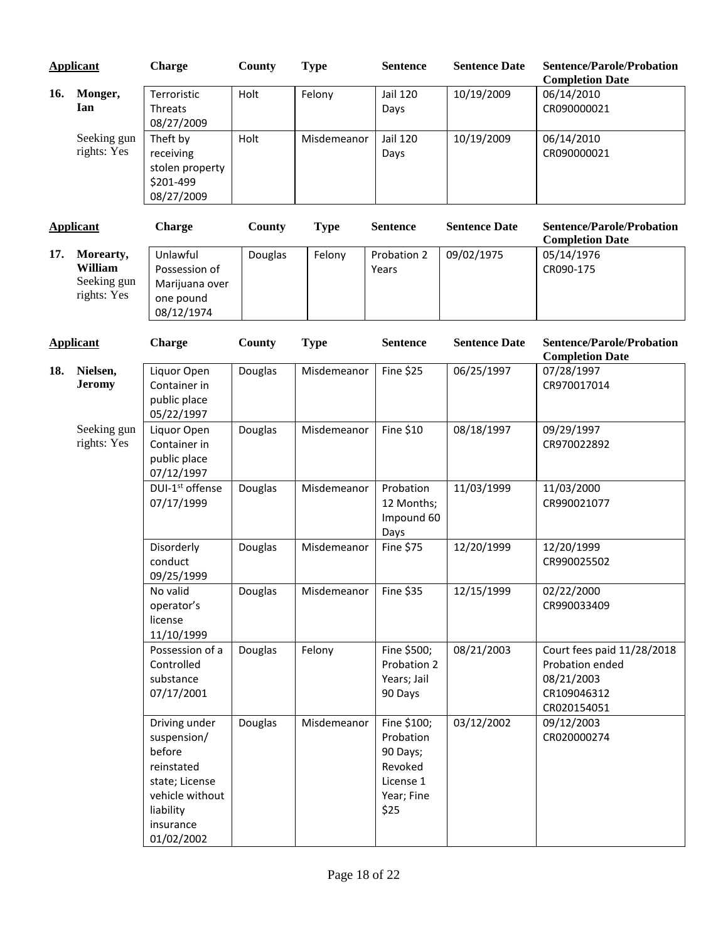|     | <b>Applicant</b>                                   | <b>Charge</b>                                                                                                                     | County  | <b>Type</b> | <b>Sentence</b>                                                                    | <b>Sentence Date</b> | <b>Sentence/Parole/Probation</b><br><b>Completion Date</b>                                |
|-----|----------------------------------------------------|-----------------------------------------------------------------------------------------------------------------------------------|---------|-------------|------------------------------------------------------------------------------------|----------------------|-------------------------------------------------------------------------------------------|
| 16. | Monger,<br>Ian                                     | Terroristic<br>Threats<br>08/27/2009                                                                                              | Holt    | Felony      | Jail 120<br>Days                                                                   | 10/19/2009           | 06/14/2010<br>CR090000021                                                                 |
|     | Seeking gun<br>rights: Yes                         | Theft by<br>receiving<br>stolen property<br>\$201-499<br>08/27/2009                                                               | Holt    | Misdemeanor | <b>Jail 120</b><br>Days                                                            | 10/19/2009           | 06/14/2010<br>CR090000021                                                                 |
|     | <b>Applicant</b>                                   | <b>Charge</b>                                                                                                                     | County  | <b>Type</b> | <b>Sentence</b>                                                                    | <b>Sentence Date</b> | <b>Sentence/Parole/Probation</b><br><b>Completion Date</b>                                |
| 17. | Morearty,<br>William<br>Seeking gun<br>rights: Yes | Unlawful<br>Possession of<br>Marijuana over<br>one pound<br>08/12/1974                                                            | Douglas | Felony      | Probation 2<br>Years                                                               | 09/02/1975           | 05/14/1976<br>CR090-175                                                                   |
|     | <b>Applicant</b>                                   | <b>Charge</b>                                                                                                                     | County  | <b>Type</b> | <b>Sentence</b>                                                                    | <b>Sentence Date</b> | <b>Sentence/Parole/Probation</b><br><b>Completion Date</b>                                |
| 18. | Nielsen,<br><b>Jeromy</b>                          | Liquor Open<br>Container in<br>public place<br>05/22/1997                                                                         | Douglas | Misdemeanor | Fine \$25                                                                          | 06/25/1997           | 07/28/1997<br>CR970017014                                                                 |
|     | Seeking gun<br>rights: Yes                         | Liquor Open<br>Container in<br>public place<br>07/12/1997                                                                         | Douglas | Misdemeanor | Fine \$10                                                                          | 08/18/1997           | 09/29/1997<br>CR970022892                                                                 |
|     |                                                    | DUI-1 <sup>st</sup> offense<br>07/17/1999                                                                                         | Douglas | Misdemeanor | Probation<br>12 Months;<br>Impound 60<br>Days                                      | 11/03/1999           | 11/03/2000<br>CR990021077                                                                 |
|     |                                                    | Disorderly<br>conduct<br>09/25/1999                                                                                               | Douglas | Misdemeanor | Fine \$75                                                                          | 12/20/1999           | 12/20/1999<br>CR990025502                                                                 |
|     |                                                    | No valid<br>operator's<br>license<br>11/10/1999                                                                                   | Douglas | Misdemeanor | Fine \$35                                                                          | 12/15/1999           | 02/22/2000<br>CR990033409                                                                 |
|     |                                                    | Possession of a<br>Controlled<br>substance<br>07/17/2001                                                                          | Douglas | Felony      | Fine \$500;<br>Probation 2<br>Years; Jail<br>90 Days                               | 08/21/2003           | Court fees paid 11/28/2018<br>Probation ended<br>08/21/2003<br>CR109046312<br>CR020154051 |
|     |                                                    | Driving under<br>suspension/<br>before<br>reinstated<br>state; License<br>vehicle without<br>liability<br>insurance<br>01/02/2002 | Douglas | Misdemeanor | Fine \$100;<br>Probation<br>90 Days;<br>Revoked<br>License 1<br>Year; Fine<br>\$25 | 03/12/2002           | 09/12/2003<br>CR020000274                                                                 |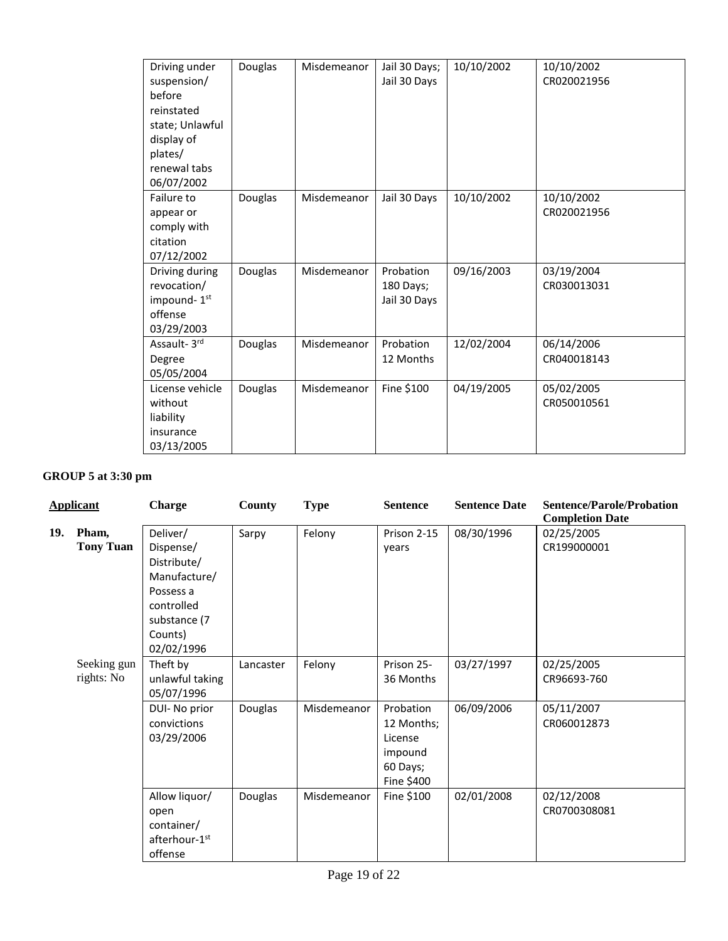| Driving under<br>suspension/<br>before<br>reinstated<br>state; Unlawful<br>display of<br>plates/<br>renewal tabs<br>06/07/2002 | Douglas | Misdemeanor | Jail 30 Days;<br>Jail 30 Days          | 10/10/2002 | 10/10/2002<br>CR020021956 |
|--------------------------------------------------------------------------------------------------------------------------------|---------|-------------|----------------------------------------|------------|---------------------------|
| Failure to<br>appear or<br>comply with<br>citation<br>07/12/2002                                                               | Douglas | Misdemeanor | Jail 30 Days                           | 10/10/2002 | 10/10/2002<br>CR020021956 |
| Driving during<br>revocation/<br>impound-1st<br>offense<br>03/29/2003                                                          | Douglas | Misdemeanor | Probation<br>180 Days;<br>Jail 30 Days | 09/16/2003 | 03/19/2004<br>CR030013031 |
| Assault-3rd<br>Degree<br>05/05/2004                                                                                            | Douglas | Misdemeanor | Probation<br>12 Months                 | 12/02/2004 | 06/14/2006<br>CR040018143 |
| License vehicle<br>without<br>liability<br>insurance<br>03/13/2005                                                             | Douglas | Misdemeanor | Fine \$100                             | 04/19/2005 | 05/02/2005<br>CR050010561 |

# **GROUP 5 at 3:30 pm**

|     | <b>Applicant</b>          | <b>Charge</b>                                                                                                            | County               | <b>Type</b>           | <b>Sentence</b>                                                                      | <b>Sentence Date</b>     | <b>Sentence/Parole/Probation</b><br><b>Completion Date</b> |
|-----|---------------------------|--------------------------------------------------------------------------------------------------------------------------|----------------------|-----------------------|--------------------------------------------------------------------------------------|--------------------------|------------------------------------------------------------|
| 19. | Pham,<br><b>Tony Tuan</b> | Deliver/<br>Dispense/<br>Distribute/<br>Manufacture/<br>Possess a<br>controlled<br>substance (7<br>Counts)<br>02/02/1996 | Sarpy                | Felony                | Prison 2-15<br>years                                                                 | 08/30/1996               | 02/25/2005<br>CR199000001                                  |
|     | Seeking gun<br>rights: No | Theft by<br>unlawful taking<br>05/07/1996<br>DUI- No prior<br>convictions<br>03/29/2006                                  | Lancaster<br>Douglas | Felony<br>Misdemeanor | Prison 25-<br>36 Months<br>Probation<br>12 Months;<br>License<br>impound<br>60 Days; | 03/27/1997<br>06/09/2006 | 02/25/2005<br>CR96693-760<br>05/11/2007<br>CR060012873     |
|     |                           | Allow liquor/<br>open<br>container/<br>afterhour-1st<br>offense                                                          | Douglas              | Misdemeanor           | Fine \$400<br>Fine \$100                                                             | 02/01/2008               | 02/12/2008<br>CR0700308081                                 |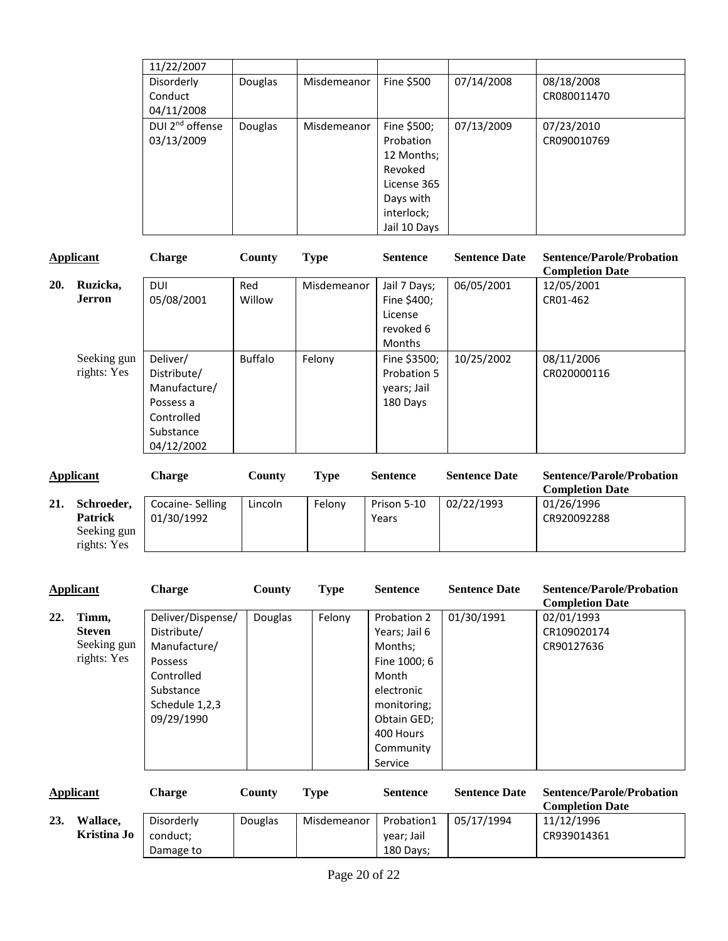| 11/22/2007                  |         |             |              |            |                           |
|-----------------------------|---------|-------------|--------------|------------|---------------------------|
| Disorderly<br>Conduct       | Douglas | Misdemeanor | Fine \$500   | 07/14/2008 | 08/18/2008<br>CR080011470 |
| 04/11/2008                  |         |             |              |            |                           |
| DUI 2 <sup>nd</sup> offense | Douglas | Misdemeanor | Fine \$500;  | 07/13/2009 | 07/23/2010                |
| 03/13/2009                  |         |             | Probation    |            | CR090010769               |
|                             |         |             | 12 Months;   |            |                           |
|                             |         |             | Revoked      |            |                           |
|                             |         |             | License 365  |            |                           |
|                             |         |             | Days with    |            |                           |
|                             |         |             | interlock;   |            |                           |
|                             |         |             | Jail 10 Days |            |                           |

|     | Applicant                  | <b>Charge</b>                                                                                 | County         | <b>Type</b> | <b>Sentence</b>                                                      | <b>Sentence Date</b> | <b>Sentence/Parole/Probation</b><br><b>Completion Date</b> |
|-----|----------------------------|-----------------------------------------------------------------------------------------------|----------------|-------------|----------------------------------------------------------------------|----------------------|------------------------------------------------------------|
| 20. | Ruzicka,<br><b>Jerron</b>  | <b>DUI</b><br>05/08/2001                                                                      | Red<br>Willow  | Misdemeanor | Jail 7 Days;<br>Fine \$400;<br>License<br>revoked 6<br><b>Months</b> | 06/05/2001           | 12/05/2001<br>CR01-462                                     |
|     | Seeking gun<br>rights: Yes | Deliver/<br>Distribute/<br>Manufacture/<br>Possess a<br>Controlled<br>Substance<br>04/12/2002 | <b>Buffalo</b> | Felony      | Fine \$3500;<br>Probation 5<br>years; Jail<br>180 Days               | 10/25/2002           | 08/11/2006<br>CR020000116                                  |

|     | Applicant                                                  | Charge                        | County  | <b>Type</b> | <b>Sentence</b>      | <b>Sentence Date</b> | <b>Sentence/Parole/Probation</b><br><b>Completion Date</b> |
|-----|------------------------------------------------------------|-------------------------------|---------|-------------|----------------------|----------------------|------------------------------------------------------------|
| 21. | Schroeder,<br><b>Patrick</b><br>Seeking gun<br>rights: Yes | Cocaine-Selling<br>01/30/1992 | Lincoln | Felony      | Prison 5-10<br>Years | 02/22/1993           | 01/26/1996<br>CR920092288                                  |

|     | <b>Applicant</b> | <b>Charge</b>     | County  | <b>Type</b> | <b>Sentence</b> | <b>Sentence Date</b> | <b>Sentence/Parole/Probation</b><br><b>Completion Date</b> |
|-----|------------------|-------------------|---------|-------------|-----------------|----------------------|------------------------------------------------------------|
| 22. | Timm,            | Deliver/Dispense/ | Douglas | Felony      | Probation 2     | 01/30/1991           | 02/01/1993                                                 |
|     | <b>Steven</b>    | Distribute/       |         |             | Years; Jail 6   |                      | CR109020174                                                |
|     | Seeking gun      | Manufacture/      |         |             | Months;         |                      | CR90127636                                                 |
|     | rights: Yes      | Possess           |         |             | Fine 1000; 6    |                      |                                                            |
|     |                  | Controlled        |         |             | Month           |                      |                                                            |
|     |                  | Substance         |         |             | electronic      |                      |                                                            |
|     |                  | Schedule 1,2,3    |         |             | monitoring;     |                      |                                                            |
|     |                  | 09/29/1990        |         |             | Obtain GED;     |                      |                                                            |
|     |                  |                   |         |             | 400 Hours       |                      |                                                            |
|     |                  |                   |         |             | Community       |                      |                                                            |
|     |                  |                   |         |             | Service         |                      |                                                            |

|     | Applicant   | <b>Charge</b> | County  | Type        | <b>Sentence</b> | <b>Sentence Date</b> | <b>Sentence/Parole/Probation</b><br><b>Completion Date</b> |
|-----|-------------|---------------|---------|-------------|-----------------|----------------------|------------------------------------------------------------|
| 23. | Wallace.    | Disorderly    | Douglas | Misdemeanor | Probation1      | 05/17/1994           | 11/12/1996                                                 |
|     | Kristina Jo | conduct:      |         |             | year; Jail      |                      | CR939014361                                                |
|     |             | Damage to     |         |             | 180 Days;       |                      |                                                            |